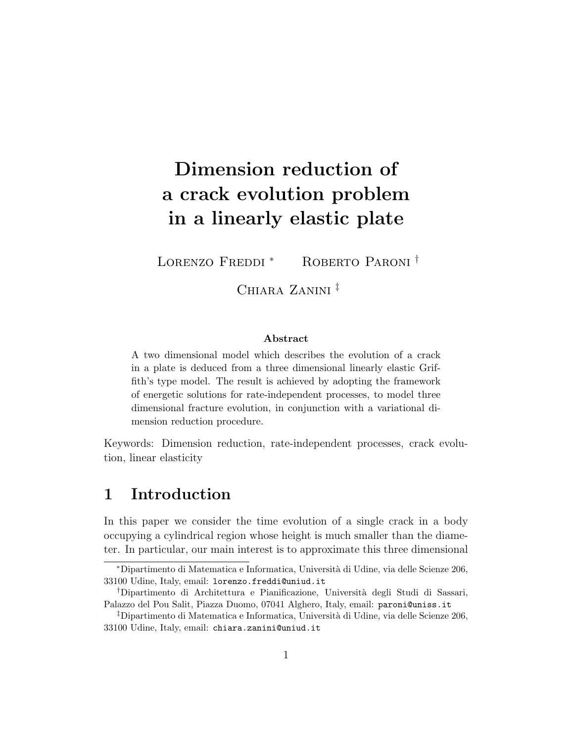# Dimension reduction of a crack evolution problem in a linearly elastic plate

LORENZO FREDDI<sup>\*</sup> ROBERTO PARONI<sup>†</sup>

Chiara Zanini ‡

#### Abstract

A two dimensional model which describes the evolution of a crack in a plate is deduced from a three dimensional linearly elastic Griffith's type model. The result is achieved by adopting the framework of energetic solutions for rate-independent processes, to model three dimensional fracture evolution, in conjunction with a variational dimension reduction procedure.

Keywords: Dimension reduction, rate-independent processes, crack evolution, linear elasticity

#### 1 Introduction

In this paper we consider the time evolution of a single crack in a body occupying a cylindrical region whose height is much smaller than the diameter. In particular, our main interest is to approximate this three dimensional

<sup>∗</sup>Dipartimento di Matematica e Informatica, Universit`a di Udine, via delle Scienze 206, 33100 Udine, Italy, email: lorenzo.freddi@uniud.it

<sup>†</sup>Dipartimento di Architettura e Pianificazione, Universit`a degli Studi di Sassari, Palazzo del Pou Salit, Piazza Duomo, 07041 Alghero, Italy, email: paroni@uniss.it

 $\ddagger$ Dipartimento di Matematica e Informatica, Università di Udine, via delle Scienze 206, 33100 Udine, Italy, email: chiara.zanini@uniud.it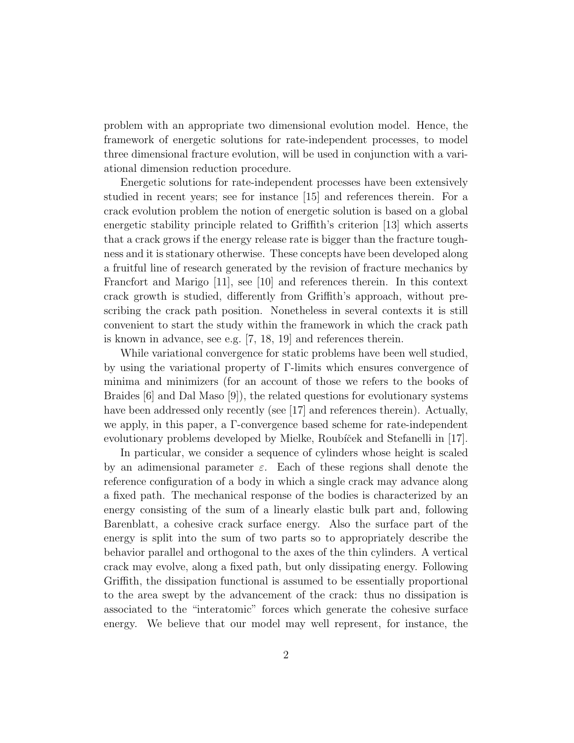problem with an appropriate two dimensional evolution model. Hence, the framework of energetic solutions for rate-independent processes, to model three dimensional fracture evolution, will be used in conjunction with a variational dimension reduction procedure.

Energetic solutions for rate-independent processes have been extensively studied in recent years; see for instance [15] and references therein. For a crack evolution problem the notion of energetic solution is based on a global energetic stability principle related to Griffith's criterion [13] which asserts that a crack grows if the energy release rate is bigger than the fracture toughness and it is stationary otherwise. These concepts have been developed along a fruitful line of research generated by the revision of fracture mechanics by Francfort and Marigo [11], see [10] and references therein. In this context crack growth is studied, differently from Griffith's approach, without prescribing the crack path position. Nonetheless in several contexts it is still convenient to start the study within the framework in which the crack path is known in advance, see e.g. [7, 18, 19] and references therein.

While variational convergence for static problems have been well studied, by using the variational property of Γ-limits which ensures convergence of minima and minimizers (for an account of those we refers to the books of Braides [6] and Dal Maso [9]), the related questions for evolutionary systems have been addressed only recently (see [17] and references therein). Actually, we apply, in this paper, a Γ-convergence based scheme for rate-independent evolutionary problems developed by Mielke, Roubíček and Stefanelli in [17].

In particular, we consider a sequence of cylinders whose height is scaled by an adimensional parameter  $\varepsilon$ . Each of these regions shall denote the reference configuration of a body in which a single crack may advance along a fixed path. The mechanical response of the bodies is characterized by an energy consisting of the sum of a linearly elastic bulk part and, following Barenblatt, a cohesive crack surface energy. Also the surface part of the energy is split into the sum of two parts so to appropriately describe the behavior parallel and orthogonal to the axes of the thin cylinders. A vertical crack may evolve, along a fixed path, but only dissipating energy. Following Griffith, the dissipation functional is assumed to be essentially proportional to the area swept by the advancement of the crack: thus no dissipation is associated to the "interatomic" forces which generate the cohesive surface energy. We believe that our model may well represent, for instance, the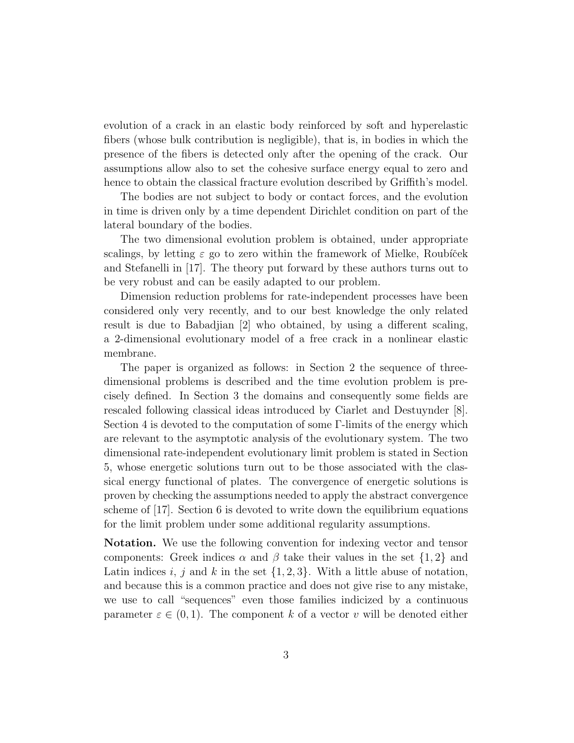evolution of a crack in an elastic body reinforced by soft and hyperelastic fibers (whose bulk contribution is negligible), that is, in bodies in which the presence of the fibers is detected only after the opening of the crack. Our assumptions allow also to set the cohesive surface energy equal to zero and hence to obtain the classical fracture evolution described by Griffith's model.

The bodies are not subject to body or contact forces, and the evolution in time is driven only by a time dependent Dirichlet condition on part of the lateral boundary of the bodies.

The two dimensional evolution problem is obtained, under appropriate scalings, by letting  $\varepsilon$  go to zero within the framework of Mielke, Roubíček and Stefanelli in [17]. The theory put forward by these authors turns out to be very robust and can be easily adapted to our problem.

Dimension reduction problems for rate-independent processes have been considered only very recently, and to our best knowledge the only related result is due to Babadjian [2] who obtained, by using a different scaling, a 2-dimensional evolutionary model of a free crack in a nonlinear elastic membrane.

The paper is organized as follows: in Section 2 the sequence of threedimensional problems is described and the time evolution problem is precisely defined. In Section 3 the domains and consequently some fields are rescaled following classical ideas introduced by Ciarlet and Destuynder [8]. Section 4 is devoted to the computation of some Γ-limits of the energy which are relevant to the asymptotic analysis of the evolutionary system. The two dimensional rate-independent evolutionary limit problem is stated in Section 5, whose energetic solutions turn out to be those associated with the classical energy functional of plates. The convergence of energetic solutions is proven by checking the assumptions needed to apply the abstract convergence scheme of [17]. Section 6 is devoted to write down the equilibrium equations for the limit problem under some additional regularity assumptions.

Notation. We use the following convention for indexing vector and tensor components: Greek indices  $\alpha$  and  $\beta$  take their values in the set  $\{1,2\}$  and Latin indices i, j and k in the set  $\{1, 2, 3\}$ . With a little abuse of notation, and because this is a common practice and does not give rise to any mistake, we use to call "sequences" even those families indicized by a continuous parameter  $\varepsilon \in (0,1)$ . The component k of a vector v will be denoted either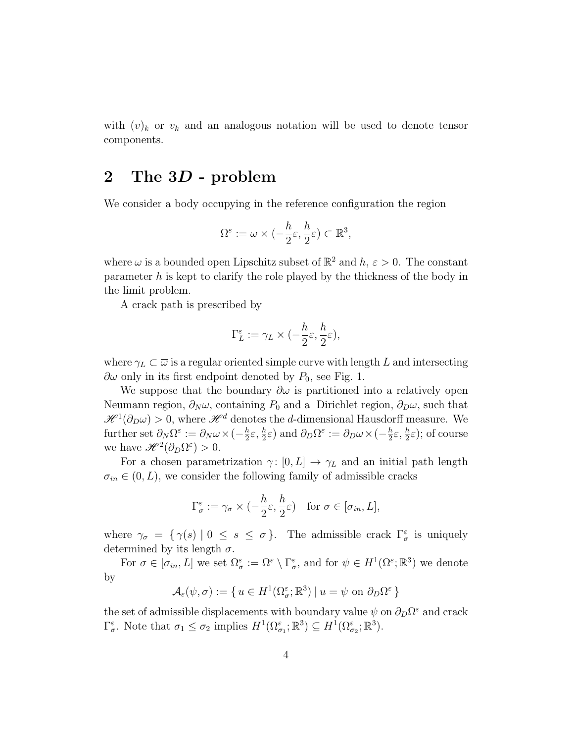with  $(v)_k$  or  $v_k$  and an analogous notation will be used to denote tensor components.

#### 2 The 3D - problem

We consider a body occupying in the reference configuration the region

$$
\Omega^\varepsilon:=\omega\times (-\frac{h}{2}\varepsilon,\frac{h}{2}\varepsilon)\subset\mathbb{R}^3,
$$

where  $\omega$  is a bounded open Lipschitz subset of  $\mathbb{R}^2$  and  $h, \varepsilon > 0$ . The constant parameter  $h$  is kept to clarify the role played by the thickness of the body in the limit problem.

A crack path is prescribed by

$$
\Gamma_L^\varepsilon:=\gamma_L\times (-\frac{h}{2}\varepsilon,\frac{h}{2}\varepsilon),
$$

where  $\gamma_L \subset \overline{\omega}$  is a regular oriented simple curve with length L and intersecting  $\partial\omega$  only in its first endpoint denoted by  $P_0$ , see Fig. 1.

We suppose that the boundary  $\partial \omega$  is partitioned into a relatively open Neumann region,  $\partial_N \omega$ , containing  $P_0$  and a Dirichlet region,  $\partial_D \omega$ , such that  $\mathscr{H}^1(\partial_D\omega) > 0$ , where  $\mathscr{H}^d$  denotes the *d*-dimensional Hausdorff measure. We further set  $\partial_N \Omega^{\varepsilon} := \partial_N \omega \times (-\frac{h}{2})$  $\frac{h}{2}\varepsilon, \frac{h}{2}\varepsilon$  and  $\partial_D\Omega^{\varepsilon} := \partial_D\omega \times (-\frac{h}{2})$  $(\frac{h}{2}\varepsilon, \frac{h}{2}\varepsilon)$ ; of course we have  $\mathscr{H}^2(\partial_D\Omega^\varepsilon)>0$ .

For a chosen parametrization  $\gamma: [0, L] \to \gamma_L$  and an initial path length  $\sigma_{in} \in (0, L)$ , we consider the following family of admissible cracks

$$
\Gamma_{\sigma}^{\varepsilon} := \gamma_{\sigma} \times \left( -\frac{h}{2} \varepsilon, \frac{h}{2} \varepsilon \right) \text{ for } \sigma \in [\sigma_{in}, L],
$$

where  $\gamma_{\sigma} = \{ \gamma(s) \mid 0 \leq s \leq \sigma \}.$  The admissible crack  $\Gamma_{\sigma}^{\varepsilon}$  is uniquely determined by its length  $\sigma$ .

For  $\sigma \in [\sigma_{in}, L]$  we set  $\Omega_{\sigma}^{\varepsilon} := \Omega^{\varepsilon} \setminus \Gamma_{\sigma}^{\varepsilon}$ , and for  $\psi \in H^{1}(\Omega^{\varepsilon}; \mathbb{R}^{3})$  we denote by

$$
\mathcal{A}_{\varepsilon}(\psi,\sigma) := \{ u \in H^1(\Omega^{\varepsilon}_{\sigma};\mathbb{R}^3) \mid u = \psi \text{ on } \partial_D \Omega^{\varepsilon} \}
$$

the set of admissible displacements with boundary value  $\psi$  on  $\partial_D\Omega^\varepsilon$  and crack  $\Gamma_{\sigma}^{\varepsilon}$ . Note that  $\sigma_1 \leq \sigma_2$  implies  $H^1(\Omega_{\sigma_1}^{\varepsilon}; \mathbb{R}^3) \subseteq H^1(\Omega_{\sigma_2}^{\varepsilon}; \mathbb{R}^3)$ .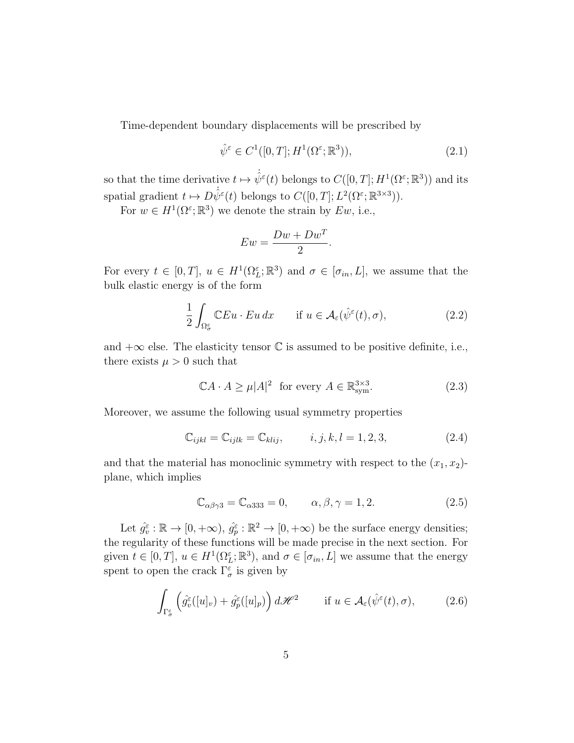Time-dependent boundary displacements will be prescribed by

$$
\hat{\psi}^{\varepsilon} \in C^1([0, T]; H^1(\Omega^{\varepsilon}; \mathbb{R}^3)),\tag{2.1}
$$

so that the time derivative  $t \mapsto \dot{\hat{\psi}}^{\varepsilon}(t)$  belongs to  $C([0,T]; H^1(\Omega^{\varepsilon}; \mathbb{R}^3))$  and its spatial gradient  $t \mapsto D\dot{\hat{\psi}}^{\varepsilon}(t)$  belongs to  $C([0, T]; L^{2}(\Omega^{\varepsilon}; \mathbb{R}^{3\times3})).$ 

For  $w \in H^1(\Omega^\varepsilon; \mathbb{R}^3)$  we denote the strain by  $Ew$ , i.e.,

$$
Ew = \frac{Dw + Dw^T}{2}
$$

For every  $t \in [0,T]$ ,  $u \in H^1(\Omega_L^{\varepsilon}; \mathbb{R}^3)$  and  $\sigma \in [\sigma_{in}, L]$ , we assume that the bulk elastic energy is of the form

$$
\frac{1}{2} \int_{\Omega_{\sigma}^{\varepsilon}} \mathbb{C} Eu \cdot Eu \, dx \qquad \text{if } u \in \mathcal{A}_{\varepsilon}(\hat{\psi}^{\varepsilon}(t), \sigma), \tag{2.2}
$$

.

and  $+\infty$  else. The elasticity tensor  $\mathbb C$  is assumed to be positive definite, i.e., there exists  $\mu > 0$  such that

$$
\mathbb{C}A \cdot A \ge \mu |A|^2 \text{ for every } A \in \mathbb{R}^{3 \times 3}_{\text{sym}}.\tag{2.3}
$$

Moreover, we assume the following usual symmetry properties

$$
\mathbb{C}_{ijkl} = \mathbb{C}_{ijlk} = \mathbb{C}_{klij}, \qquad i, j, k, l = 1, 2, 3,
$$
\n(2.4)

and that the material has monoclinic symmetry with respect to the  $(x_1, x_2)$ plane, which implies

$$
\mathbb{C}_{\alpha\beta\gamma3} = \mathbb{C}_{\alpha333} = 0, \qquad \alpha, \beta, \gamma = 1, 2. \tag{2.5}
$$

Let  $\hat{g}_{\tilde{v}}^{\varepsilon} : \mathbb{R} \to [0, +\infty), \hat{g}_{\tilde{p}}^{\varepsilon} : \mathbb{R}^2 \to [0, +\infty)$  be the surface energy densities; the regularity of these functions will be made precise in the next section. For given  $t \in [0, T]$ ,  $u \in H^1(\Omega_L^{\varepsilon}; \mathbb{R}^3)$ , and  $\sigma \in [\sigma_{in}, L]$  we assume that the energy spent to open the crack  $\Gamma_{\sigma}^{\varepsilon}$  is given by

$$
\int_{\Gamma_{\sigma}^{\varepsilon}} \left( \hat{g}_{v}^{\varepsilon}([u]_{v}) + \hat{g}_{p}^{\varepsilon}([u]_{p}) \right) d\mathcal{H}^{2} \qquad \text{if } u \in \mathcal{A}_{\varepsilon}(\hat{\psi}^{\varepsilon}(t), \sigma), \tag{2.6}
$$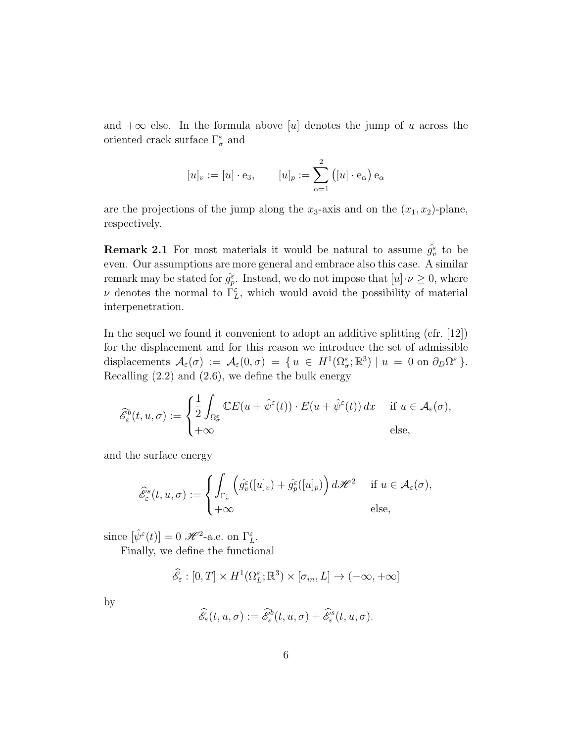and  $+\infty$  else. In the formula above [u] denotes the jump of u across the oriented crack surface  $\Gamma^{\varepsilon}_{\sigma}$  and

$$
[u]_v := [u] \cdot e_3, \qquad [u]_p := \sum_{\alpha=1}^2 ([u] \cdot e_\alpha) e_\alpha
$$

are the projections of the jump along the  $x_3$ -axis and on the  $(x_1, x_2)$ -plane, respectively.

**Remark 2.1** For most materials it would be natural to assume  $\hat{g}_{\hat{v}}^{\varepsilon}$  to be even. Our assumptions are more general and embrace also this case. A similar remark may be stated for  $\hat{g}_{p}^{\varepsilon}$ . Instead, we do not impose that  $[u] \cdot \nu \geq 0$ , where  $\nu$  denotes the normal to  $\Gamma_L^{\varepsilon}$ , which would avoid the possibility of material interpenetration.

In the sequel we found it convenient to adopt an additive splitting (cfr. [12]) for the displacement and for this reason we introduce the set of admissible displacements  $\mathcal{A}_{\varepsilon}(\sigma) := \mathcal{A}_{\varepsilon}(0,\sigma) = \{ u \in H^1(\Omega^{\varepsilon}_{\sigma};\mathbb{R}^3) \mid u = 0 \text{ on } \partial_D \Omega^{\varepsilon} \}.$ Recalling  $(2.2)$  and  $(2.6)$ , we define the bulk energy

$$
\widehat{\mathcal{E}}_{\varepsilon}^{b}(t, u, \sigma) := \begin{cases} \frac{1}{2} \int_{\Omega_{\sigma}^{\varepsilon}} \mathbb{C}E(u + \hat{\psi}^{\varepsilon}(t)) \cdot E(u + \hat{\psi}^{\varepsilon}(t)) dx & \text{if } u \in \mathcal{A}_{\varepsilon}(\sigma), \\ +\infty & \text{else,} \end{cases}
$$

and the surface energy

$$
\widehat{\mathscr{E}}^s_{\varepsilon}(t, u, \sigma) := \begin{cases} \int_{\Gamma^{\varepsilon}_{\sigma}} \left( \widehat{g}^{\varepsilon}_v([u]_v) + \widehat{g}^{\varepsilon}_p([u]_p) \right) d\mathscr{H}^2 & \text{if } u \in \mathcal{A}_{\varepsilon}(\sigma), \\ +\infty & \text{else,} \end{cases}
$$

since  $[\hat{\psi}^{\varepsilon}(t)] = 0 \mathcal{H}^2$ -a.e. on  $\Gamma_L^{\varepsilon}$ .

Finally, we define the functional

$$
\widehat{\mathscr{E}}_{\varepsilon} : [0, T] \times H^1(\Omega_L^{\varepsilon}; \mathbb{R}^3) \times [\sigma_{in}, L] \to (-\infty, +\infty]
$$

by

$$
\widehat{\mathscr{E}}_\varepsilon(t,u,\sigma):=\widehat{\mathscr{E}}^b_\varepsilon(t,u,\sigma)+\widehat{\mathscr{E}}^s_\varepsilon(t,u,\sigma).
$$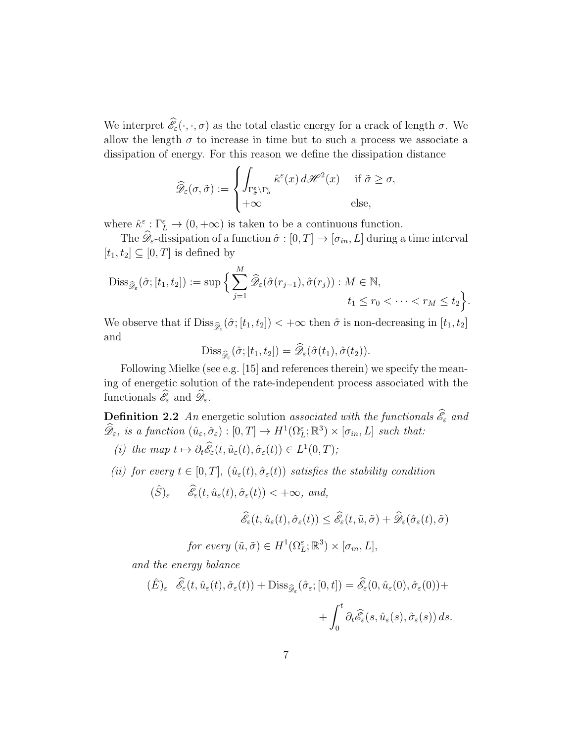We interpret  $\mathscr{E}_{\varepsilon}(\cdot, \cdot, \sigma)$  as the total elastic energy for a crack of length  $\sigma$ . We allow the length  $\sigma$  to increase in time but to such a process we associate a dissipation of energy. For this reason we define the dissipation distance

$$
\widehat{\mathscr{D}}_{\varepsilon}(\sigma,\tilde{\sigma}) := \begin{cases} \int_{\Gamma_{\tilde{\sigma}}^{\varepsilon} \setminus \Gamma_{\sigma}^{\varepsilon}} \hat{\kappa}^{\varepsilon}(x) d\mathscr{H}^{2}(x) & \text{if } \tilde{\sigma} \geq \sigma, \\ +\infty & \text{else,} \end{cases}
$$

where  $\hat{\kappa}^{\varepsilon} : \Gamma_L^{\varepsilon} \to (0, +\infty)$  is taken to be a continuous function.

The  $\mathscr{D}_{\varepsilon}$ -dissipation of a function  $\hat{\sigma} : [0, T] \to [\sigma_{in}, L]$  during a time interval  $[t_1, t_2] \subseteq [0, T]$  is defined by

$$
\mathrm{Diss}_{\widehat{\mathscr{D}}_{\varepsilon}}(\widehat{\sigma};[t_1,t_2]) := \sup \Big\{ \sum_{j=1}^M \widehat{\mathscr{D}}_{\varepsilon}(\widehat{\sigma}(r_{j-1}),\widehat{\sigma}(r_j)) : M \in \mathbb{N}, \t t_1 \le r_0 < \cdots < r_M \le t_2 \Big\}.
$$

We observe that if  $\text{Diss}_{\hat{\mathscr{D}}_{\varepsilon}}(\hat{\sigma}; [t_1, t_2]) < +\infty$  then  $\hat{\sigma}$  is non-decreasing in  $[t_1, t_2]$ and

$$
\mathrm{Diss}_{\widehat{\mathscr{D}}_{\varepsilon}}(\widehat{\sigma};[t_1,t_2]) = \widehat{\mathscr{D}}_{\varepsilon}(\widehat{\sigma}(t_1),\widehat{\sigma}(t_2)).
$$

Following Mielke (see e.g. [15] and references therein) we specify the meaning of energetic solution of the rate-independent process associated with the functionals  $\mathscr{E}_{\varepsilon}$  and  $\mathscr{D}_{\varepsilon}$ .

**Definition 2.2** An energetic solution associated with the functionals  $\mathscr{E}_{\varepsilon}$  and  $\widehat{\mathscr{D}}_{\varepsilon}$ , is a function  $(\hat{u}_{\varepsilon}, \hat{\sigma}_{\varepsilon}) : [0, T] \to H^1(\Omega_L^{\varepsilon}; \mathbb{R}^3) \times [\sigma_{in}, L]$  such that:

- (i) the map  $t \mapsto \partial_t \mathscr{E}_{\varepsilon}(t, \hat{u}_{\varepsilon}(t), \hat{\sigma}_{\varepsilon}(t)) \in L^1(0, T);$
- (ii) for every  $t \in [0, T]$ ,  $(\hat{u}_{\varepsilon}(t), \hat{\sigma}_{\varepsilon}(t))$  satisfies the stability condition
	- $(\hat{S})_{\varepsilon}$   $\widehat{\mathscr{E}}_{\varepsilon}(t, \hat{u}_{\varepsilon}(t), \hat{\sigma}_{\varepsilon}(t)) < +\infty$ , and,

$$
\widehat{\mathcal{E}}_{\varepsilon}(t, \widehat{u}_{\varepsilon}(t), \widehat{\sigma}_{\varepsilon}(t)) \leq \widehat{\mathcal{E}}_{\varepsilon}(t, \widetilde{u}, \widetilde{\sigma}) + \widehat{\mathcal{D}}_{\varepsilon}(\widehat{\sigma}_{\varepsilon}(t), \widetilde{\sigma})
$$

for every  $(\tilde{u}, \tilde{\sigma}) \in H^1(\Omega_L^{\varepsilon}; \mathbb{R}^3) \times [\sigma_{in}, L],$ 

and the energy balance

$$
(\hat{E})_{\varepsilon} \quad \widehat{\mathscr{E}}_{\varepsilon}(t, \hat{u}_{\varepsilon}(t), \hat{\sigma}_{\varepsilon}(t)) + \text{Diss}_{\widehat{\mathscr{D}}_{\varepsilon}}(\hat{\sigma}_{\varepsilon}; [0, t]) = \widehat{\mathscr{E}}_{\varepsilon}(0, \hat{u}_{\varepsilon}(0), \hat{\sigma}_{\varepsilon}(0)) + + \int_{0}^{t} \partial_{t} \widehat{\mathscr{E}}_{\varepsilon}(s, \hat{u}_{\varepsilon}(s), \hat{\sigma}_{\varepsilon}(s)) ds.
$$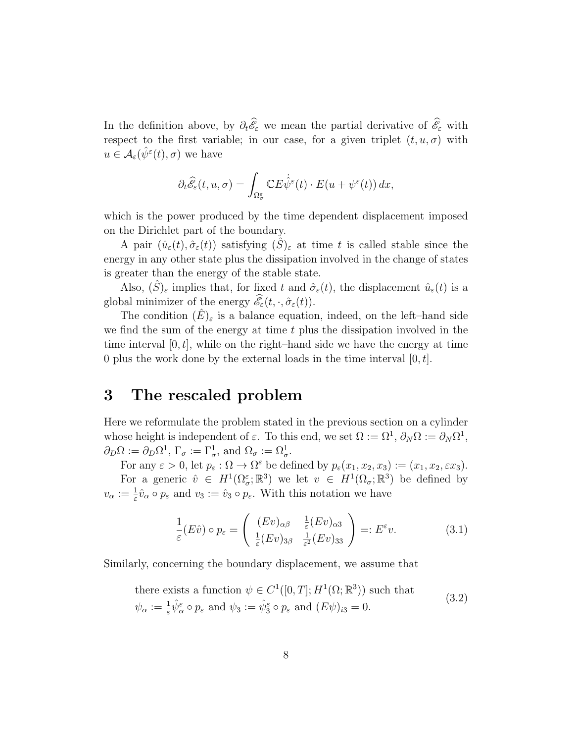In the definition above, by  $\partial_t \mathscr{E}_{\varepsilon}$  we mean the partial derivative of  $\mathscr{E}_{\varepsilon}$  with respect to the first variable; in our case, for a given triplet  $(t, u, \sigma)$  with  $u \in \mathcal{A}_{\varepsilon}(\hat{\psi}^{\varepsilon}(t), \sigma)$  we have

$$
\partial_t \widehat{\mathscr{E}}_{\varepsilon}(t,u,\sigma)=\int_{\Omega_{\sigma}^{\varepsilon}}\mathbb{C} E\dot{\widehat{\psi}}^{\varepsilon}(t)\cdot E(u+\psi^{\varepsilon}(t))\,dx,
$$

which is the power produced by the time dependent displacement imposed on the Dirichlet part of the boundary.

A pair  $(\hat{u}_{\varepsilon}(t), \hat{\sigma}_{\varepsilon}(t))$  satisfying  $(\hat{S})_{\varepsilon}$  at time t is called stable since the energy in any other state plus the dissipation involved in the change of states is greater than the energy of the stable state.

Also,  $(\hat{S})_{\varepsilon}$  implies that, for fixed t and  $\hat{\sigma}_{\varepsilon}(t)$ , the displacement  $\hat{u}_{\varepsilon}(t)$  is a global minimizer of the energy  $\mathscr{E}_{\varepsilon}(t, \cdot, \hat{\sigma}_{\varepsilon}(t)).$ 

The condition  $(\hat{E})_{\varepsilon}$  is a balance equation, indeed, on the left–hand side we find the sum of the energy at time  $t$  plus the dissipation involved in the time interval  $[0, t]$ , while on the right–hand side we have the energy at time 0 plus the work done by the external loads in the time interval  $[0, t]$ .

### 3 The rescaled problem

Here we reformulate the problem stated in the previous section on a cylinder whose height is independent of  $\varepsilon$ . To this end, we set  $\Omega := \Omega^1$ ,  $\partial_N \Omega := \partial_N \Omega^1$ ,  $\partial_D\Omega := \partial_D\Omega^1$ ,  $\Gamma_{\sigma} := \Gamma_{\sigma}^1$ , and  $\Omega_{\sigma} := \Omega_{\sigma}^1$ .

For any  $\varepsilon > 0$ , let  $p_{\varepsilon} : \Omega \to \Omega^{\varepsilon}$  be defined by  $p_{\varepsilon}(x_1, x_2, x_3) := (x_1, x_2, \varepsilon x_3)$ .

For a generic  $\hat{v} \in H^1(\Omega_\sigma^{\varepsilon}; \mathbb{R}^3)$  we let  $v \in H^1(\Omega_\sigma; \mathbb{R}^3)$  be defined by  $v_{\alpha} := \frac{1}{\varepsilon} \hat{v}_{\alpha} \circ p_{\varepsilon}$  and  $v_3 := \hat{v}_3 \circ p_{\varepsilon}$ . With this notation we have

$$
\frac{1}{\varepsilon}(E\hat{v}) \circ p_{\varepsilon} = \begin{pmatrix} (Ev)_{\alpha\beta} & \frac{1}{\varepsilon}(Ev)_{\alpha3} \\ \frac{1}{\varepsilon}(Ev)_{3\beta} & \frac{1}{\varepsilon^2}(Ev)_{33} \end{pmatrix} =: E^{\varepsilon}v.
$$
 (3.1)

Similarly, concerning the boundary displacement, we assume that

there exists a function 
$$
\psi \in C^1([0, T]; H^1(\Omega; \mathbb{R}^3))
$$
 such that  
\n $\psi_{\alpha} := \frac{1}{\varepsilon} \hat{\psi}_{\alpha}^{\varepsilon} \circ p_{\varepsilon}$  and  $\psi_3 := \hat{\psi}_{3}^{\varepsilon} \circ p_{\varepsilon}$  and  $(E\psi)_{i3} = 0$ . (3.2)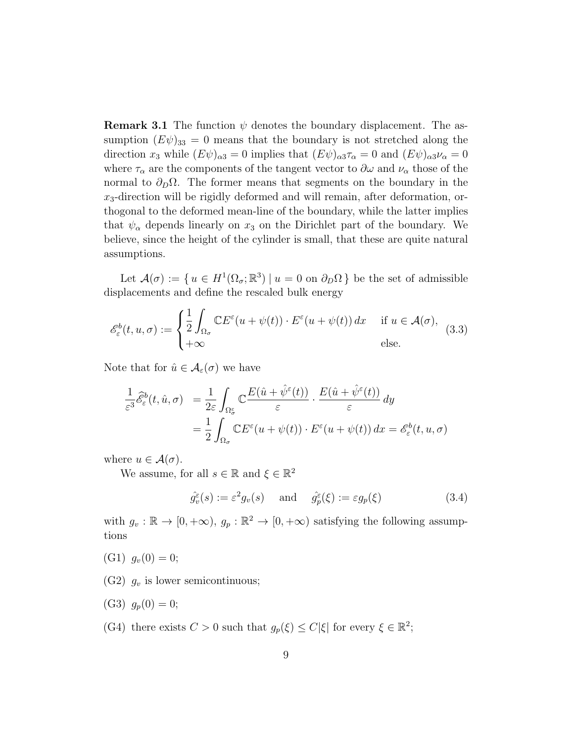**Remark 3.1** The function  $\psi$  denotes the boundary displacement. The assumption  $(E\psi)_{33} = 0$  means that the boundary is not stretched along the direction  $x_3$  while  $(E\psi)_{\alpha 3} = 0$  implies that  $(E\psi)_{\alpha 3} \tau_\alpha = 0$  and  $(E\psi)_{\alpha 3} \nu_\alpha = 0$ where  $\tau_{\alpha}$  are the components of the tangent vector to  $\partial \omega$  and  $\nu_{\alpha}$  those of the normal to  $\partial_D \Omega$ . The former means that segments on the boundary in the  $x_3$ -direction will be rigidly deformed and will remain, after deformation, orthogonal to the deformed mean-line of the boundary, while the latter implies that  $\psi_{\alpha}$  depends linearly on  $x_3$  on the Dirichlet part of the boundary. We believe, since the height of the cylinder is small, that these are quite natural assumptions.

Let  $\mathcal{A}(\sigma) := \{ u \in H^1(\Omega_{\sigma}; \mathbb{R}^3) \mid u = 0 \text{ on } \partial_D \Omega \}$  be the set of admissible displacements and define the rescaled bulk energy

$$
\mathcal{E}_{\varepsilon}^{b}(t, u, \sigma) := \begin{cases} \frac{1}{2} \int_{\Omega_{\sigma}} \mathbb{C} E^{\varepsilon}(u + \psi(t)) \cdot E^{\varepsilon}(u + \psi(t)) dx & \text{if } u \in \mathcal{A}(\sigma), \\ +\infty & \text{else.} \end{cases}
$$
(3.3)

Note that for  $\hat{u} \in \mathcal{A}_{\varepsilon}(\sigma)$  we have

$$
\frac{1}{\varepsilon^3} \widehat{\mathcal{E}}_{\varepsilon}^b(t, \hat{u}, \sigma) = \frac{1}{2\varepsilon} \int_{\Omega_{\sigma}^{\varepsilon}} \mathbb{C} \frac{E(\hat{u} + \hat{\psi}^{\varepsilon}(t))}{\varepsilon} \cdot \frac{E(\hat{u} + \hat{\psi}^{\varepsilon}(t))}{\varepsilon} dy
$$

$$
= \frac{1}{2} \int_{\Omega_{\sigma}} \mathbb{C} E^{\varepsilon}(u + \psi(t)) \cdot E^{\varepsilon}(u + \psi(t)) dx = \mathcal{E}_{\varepsilon}^b(t, u, \sigma)
$$

where  $u \in \mathcal{A}(\sigma)$ .

We assume, for all  $s \in \mathbb{R}$  and  $\xi \in \mathbb{R}^2$ 

$$
\hat{g}_v^{\varepsilon}(s) := \varepsilon^2 g_v(s) \quad \text{and} \quad \hat{g}_p^{\varepsilon}(\xi) := \varepsilon g_p(\xi)
$$
\n(3.4)

with  $g_v : \mathbb{R} \to [0, +\infty)$ ,  $g_p : \mathbb{R}^2 \to [0, +\infty)$  satisfying the following assumptions

- $(G1)$   $q_v(0) = 0;$
- (G2)  $g_v$  is lower semicontinuous;
- (G3)  $g_p(0) = 0;$
- (G4) there exists  $C > 0$  such that  $g_p(\xi) \leq C |\xi|$  for every  $\xi \in \mathbb{R}^2$ ;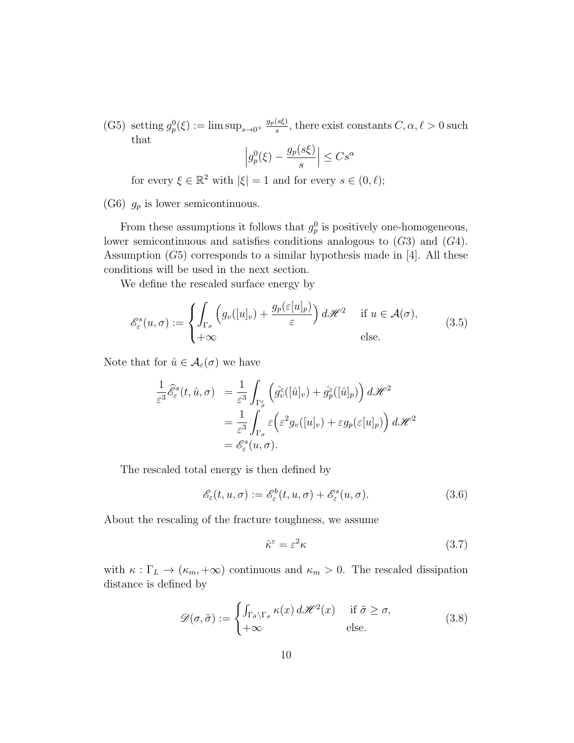(G5) setting  $g_p^0(\xi) := \limsup_{s \to 0^+} \frac{g_p(s\xi)}{s}$  $\frac{(s\xi)}{s}$ , there exist constants  $C, \alpha, \ell > 0$  such that

$$
\left| g_p^0(\xi) - \frac{g_p(s\xi)}{s} \right| \leq C s^{\alpha}
$$

for every  $\xi \in \mathbb{R}^2$  with  $|\xi| = 1$  and for every  $s \in (0, \ell);$ 

(G6)  $g_p$  is lower semicontinuous.

From these assumptions it follows that  $g_p^0$  is positively one-homogeneous, lower semicontinuous and satisfies conditions analogous to  $(G3)$  and  $(G4)$ . Assumption  $(G5)$  corresponds to a similar hypothesis made in [4]. All these conditions will be used in the next section.

We define the rescaled surface energy by

$$
\mathcal{E}_{\varepsilon}^{s}(u,\sigma) := \begin{cases} \int_{\Gamma_{\sigma}} \left( g_{v}([u]_{v}) + \frac{g_{p}(\varepsilon[u]_{p})}{\varepsilon} \right) d\mathcal{H}^{2} & \text{if } u \in \mathcal{A}(\sigma), \\ +\infty & \text{else.} \end{cases}
$$
(3.5)

Note that for  $\hat{u} \in \mathcal{A}_{\varepsilon}(\sigma)$  we have

$$
\frac{1}{\varepsilon^3} \widehat{\mathcal{E}}_{\varepsilon}^s(t, \hat{u}, \sigma) = \frac{1}{\varepsilon^3} \int_{\Gamma_{\sigma}^{\varepsilon}} \left( \widehat{g}_{\hat{v}}^{\varepsilon}([\hat{u}]_{v}) + \widehat{g}_{p}^{\varepsilon}([\hat{u}]_{p}) \right) d\mathscr{H}^2
$$

$$
= \frac{1}{\varepsilon^3} \int_{\Gamma_{\sigma}} \varepsilon \left( \varepsilon^2 g_{v}([u]_{v}) + \varepsilon g_{p}(\varepsilon[u]_{p}) \right) d\mathscr{H}^2
$$

$$
= \mathcal{E}_{\varepsilon}^s(u, \sigma).
$$

The rescaled total energy is then defined by

$$
\mathscr{E}_{\varepsilon}(t, u, \sigma) := \mathscr{E}_{\varepsilon}^{b}(t, u, \sigma) + \mathscr{E}_{\varepsilon}^{s}(u, \sigma).
$$
 (3.6)

About the rescaling of the fracture toughness, we assume

$$
\hat{\kappa}^{\varepsilon} = \varepsilon^2 \kappa \tag{3.7}
$$

with  $\kappa : \Gamma_L \to (\kappa_m, +\infty)$  continuous and  $\kappa_m > 0$ . The rescaled dissipation distance is defined by

$$
\mathcal{D}(\sigma,\tilde{\sigma}) := \begin{cases} \int_{\Gamma_{\tilde{\sigma}}\backslash\Gamma_{\sigma}} \kappa(x) d\mathcal{H}^2(x) & \text{if } \tilde{\sigma} \ge \sigma, \\ +\infty & \text{else.} \end{cases}
$$
(3.8)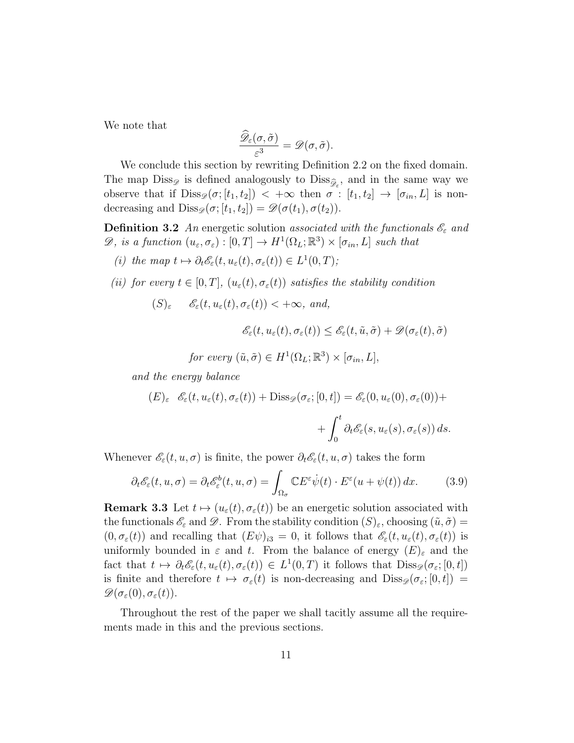We note that

$$
\frac{\widehat{\mathscr{D}}_{\varepsilon}(\sigma,\tilde{\sigma})}{\varepsilon^3}=\mathscr{D}(\sigma,\tilde{\sigma}).
$$

We conclude this section by rewriting Definition 2.2 on the fixed domain. The map  $\text{Diss}_{\mathscr{D}}$  is defined analogously to  $\text{Diss}_{\widehat{\mathscr{D}}_{\varepsilon}}$ , and in the same way we observe that if  $\text{Diss}_{\mathscr{D}} (\sigma; [t_1, t_2]) < +\infty$  then  $\sigma : [t_1, t_2] \to [\sigma_{in}, L]$  is nondecreasing and  $\text{Diss}_{\mathscr{D}}(\sigma; [t_1, t_2]) = \mathscr{D}(\sigma(t_1), \sigma(t_2)).$ 

**Definition 3.2** An energetic solution associated with the functionals  $\mathscr{E}_{\varepsilon}$  and  $\mathscr{D},$  is a function  $(u_{\varepsilon}, \sigma_{\varepsilon}) : [0, T] \to H^1(\Omega_L; \mathbb{R}^3) \times [\sigma_{in}, L]$  such that

- (i) the map  $t \mapsto \partial_t \mathscr{E}_{\varepsilon}(t, u_{\varepsilon}(t), \sigma_{\varepsilon}(t)) \in L^1(0,T);$
- (ii) for every  $t \in [0, T]$ ,  $(u_{\varepsilon}(t), \sigma_{\varepsilon}(t))$  satisfies the stability condition

 $(S)_{\varepsilon}$   $\mathscr{E}_{\varepsilon}(t, u_{\varepsilon}(t), \sigma_{\varepsilon}(t)) < +\infty$ , and,

$$
\mathscr{E}_\varepsilon(t,u_\varepsilon(t),\sigma_\varepsilon(t))\leq \mathscr{E}_\varepsilon(t,\tilde u,\tilde \sigma)+\mathscr{D}(\sigma_\varepsilon(t),\tilde \sigma)
$$

for every  $(\tilde{u}, \tilde{\sigma}) \in H^1(\Omega_L; \mathbb{R}^3) \times [\sigma_{in}, L],$ 

and the energy balance

$$
(E)_{\varepsilon} \quad \mathscr{E}_{\varepsilon}(t, u_{\varepsilon}(t), \sigma_{\varepsilon}(t)) + \text{Diss}_{\mathscr{D}}(\sigma_{\varepsilon}; [0, t]) = \mathscr{E}_{\varepsilon}(0, u_{\varepsilon}(0), \sigma_{\varepsilon}(0)) +
$$

$$
+ \int_{0}^{t} \partial_{t} \mathscr{E}_{\varepsilon}(s, u_{\varepsilon}(s), \sigma_{\varepsilon}(s)) ds.
$$

Whenever  $\mathscr{E}_{\varepsilon}(t, u, \sigma)$  is finite, the power  $\partial_t \mathscr{E}_{\varepsilon}(t, u, \sigma)$  takes the form

$$
\partial_t \mathcal{E}_{\varepsilon}(t, u, \sigma) = \partial_t \mathcal{E}_{\varepsilon}^b(t, u, \sigma) = \int_{\Omega_{\sigma}} \mathbb{C} E^{\varepsilon} \dot{\psi}(t) \cdot E^{\varepsilon}(u + \psi(t)) dx.
$$
 (3.9)

**Remark 3.3** Let  $t \mapsto (u_{\varepsilon}(t), \sigma_{\varepsilon}(t))$  be an energetic solution associated with the functionals  $\mathscr{E}_{\varepsilon}$  and  $\mathscr{D}$ . From the stability condition  $(S)_{\varepsilon}$ , choosing  $(\tilde{u}, \tilde{\sigma}) =$  $(0, \sigma_{\varepsilon}(t))$  and recalling that  $(E\psi)_{i3} = 0$ , it follows that  $\mathscr{E}_{\varepsilon}(t, u_{\varepsilon}(t), \sigma_{\varepsilon}(t))$  is uniformly bounded in  $\varepsilon$  and t. From the balance of energy  $(E)_{\varepsilon}$  and the fact that  $t \mapsto \partial_t \mathscr{E}_{\varepsilon}(t, u_{\varepsilon}(t), \sigma_{\varepsilon}(t)) \in L^1(0, T)$  it follows that  $\text{Diss}_{\mathscr{D}}(\sigma_{\varepsilon}; [0, t])$ is finite and therefore  $t \mapsto \sigma_{\varepsilon}(t)$  is non-decreasing and  $\text{Diss}_{\mathscr{D}} (\sigma_{\varepsilon}; [0, t]) =$  $\mathscr{D}(\sigma_{\varepsilon}(0),\sigma_{\varepsilon}(t)).$ 

Throughout the rest of the paper we shall tacitly assume all the requirements made in this and the previous sections.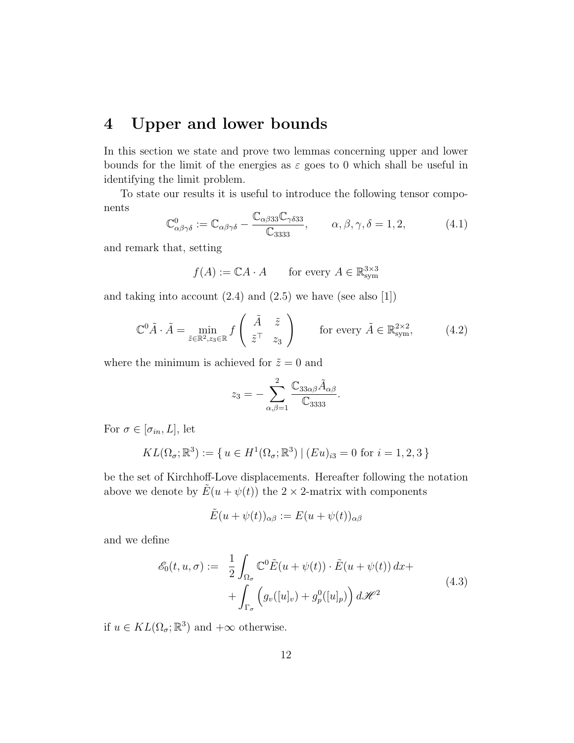#### 4 Upper and lower bounds

In this section we state and prove two lemmas concerning upper and lower bounds for the limit of the energies as  $\varepsilon$  goes to 0 which shall be useful in identifying the limit problem.

To state our results it is useful to introduce the following tensor components

$$
\mathbb{C}^{0}_{\alpha\beta\gamma\delta} := \mathbb{C}_{\alpha\beta\gamma\delta} - \frac{\mathbb{C}_{\alpha\beta33}\mathbb{C}_{\gamma\delta33}}{\mathbb{C}_{3333}}, \qquad \alpha, \beta, \gamma, \delta = 1, 2,
$$
 (4.1)

and remark that, setting

$$
f(A) := \mathbb{C}A \cdot A \qquad \text{for every } A \in \mathbb{R}^{3 \times 3}_{\text{sym}}
$$

and taking into account  $(2.4)$  and  $(2.5)$  we have (see also [1])

$$
\mathbb{C}^0 \tilde{A} \cdot \tilde{A} = \min_{\tilde{z} \in \mathbb{R}^2, z_3 \in \mathbb{R}} f\left(\begin{array}{cc} \tilde{A} & \tilde{z} \\ \tilde{z}^\top & z_3 \end{array}\right) \qquad \text{for every } \tilde{A} \in \mathbb{R}^{2 \times 2}_{\text{sym}},\tag{4.2}
$$

where the minimum is achieved for  $\tilde{z} = 0$  and

$$
z_3 = -\sum_{\alpha,\beta=1}^2 \frac{\mathbb{C}_{33\alpha\beta}\tilde{A}_{\alpha\beta}}{\mathbb{C}_{3333}}.
$$

For  $\sigma \in [\sigma_{in}, L]$ , let

$$
KL(\Omega_{\sigma}; \mathbb{R}^3) := \{ u \in H^1(\Omega_{\sigma}; \mathbb{R}^3) \mid (Eu)_{i3} = 0 \text{ for } i = 1, 2, 3 \}
$$

be the set of Kirchhoff-Love displacements. Hereafter following the notation above we denote by  $\tilde{E}(u + \psi(t))$  the  $2 \times 2$ -matrix with components

$$
\tilde{E}(u+\psi(t))_{\alpha\beta} := E(u+\psi(t))_{\alpha\beta}
$$

and we define

$$
\mathcal{E}_0(t, u, \sigma) := \frac{1}{2} \int_{\Omega_{\sigma}} \mathbb{C}^0 \tilde{E}(u + \psi(t)) \cdot \tilde{E}(u + \psi(t)) dx + + \int_{\Gamma_{\sigma}} \left( g_v([u]_v) + g_p^0([u]_p) \right) d\mathcal{H}^2
$$
\n(4.3)

if  $u \in KL(\Omega_{\sigma}; \mathbb{R}^{3})$  and  $+\infty$  otherwise.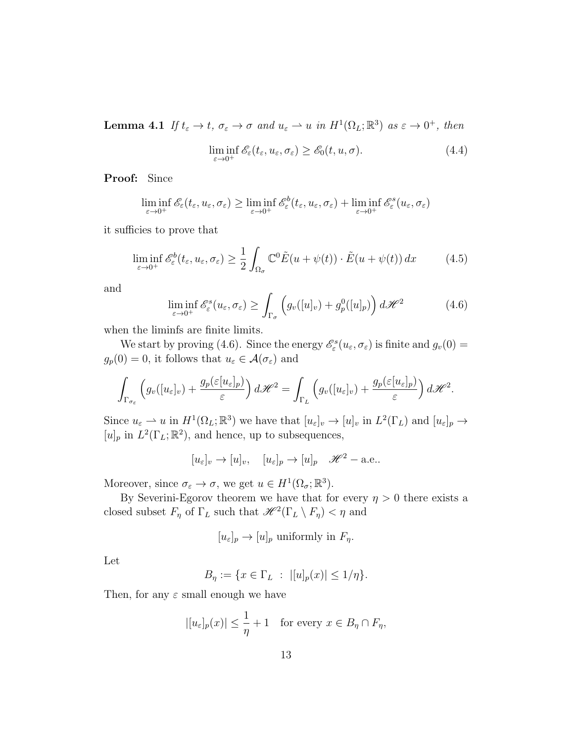**Lemma 4.1** If  $t_{\varepsilon} \to t$ ,  $\sigma_{\varepsilon} \to \sigma$  and  $u_{\varepsilon} \to u$  in  $H^1(\Omega_L;\mathbb{R}^3)$  as  $\varepsilon \to 0^+$ , then

$$
\liminf_{\varepsilon \to 0^+} \mathscr{E}_{\varepsilon}(t_{\varepsilon}, u_{\varepsilon}, \sigma_{\varepsilon}) \ge \mathscr{E}_0(t, u, \sigma).
$$
\n(4.4)

Proof: Since

$$
\liminf_{\varepsilon \to 0^+} \mathscr{E}_{\varepsilon}(t_{\varepsilon}, u_{\varepsilon}, \sigma_{\varepsilon}) \ge \liminf_{\varepsilon \to 0^+} \mathscr{E}_{\varepsilon}^b(t_{\varepsilon}, u_{\varepsilon}, \sigma_{\varepsilon}) + \liminf_{\varepsilon \to 0^+} \mathscr{E}_{\varepsilon}^s(u_{\varepsilon}, \sigma_{\varepsilon})
$$

it sufficies to prove that

$$
\liminf_{\varepsilon \to 0^+} \mathcal{E}_{\varepsilon}^b(t_{\varepsilon}, u_{\varepsilon}, \sigma_{\varepsilon}) \ge \frac{1}{2} \int_{\Omega_{\sigma}} \mathbb{C}^0 \tilde{E}(u + \psi(t)) \cdot \tilde{E}(u + \psi(t)) dx \tag{4.5}
$$

and

$$
\liminf_{\varepsilon \to 0^+} \mathscr{E}_{\varepsilon}^s(u_{\varepsilon}, \sigma_{\varepsilon}) \ge \int_{\Gamma_{\sigma}} \left( g_v([u]_v) + g_p^0([u]_p) \right) d\mathscr{H}^2 \tag{4.6}
$$

when the liminfs are finite limits.

We start by proving (4.6). Since the energy  $\mathscr{E}_{\varepsilon}^{s}(u_{\varepsilon}, \sigma_{\varepsilon})$  is finite and  $g_{v}(0) =$  $g_p(0) = 0$ , it follows that  $u_\varepsilon \in \mathcal{A}(\sigma_\varepsilon)$  and

$$
\int_{\Gamma_{\sigma_{\varepsilon}}} \left( g_{v}([u_{\varepsilon}]_{v}) + \frac{g_{p}(\varepsilon[u_{\varepsilon}]_{p})}{\varepsilon} \right) d\mathscr{H}^{2} = \int_{\Gamma_{L}} \left( g_{v}([u_{\varepsilon}]_{v}) + \frac{g_{p}(\varepsilon[u_{\varepsilon}]_{p})}{\varepsilon} \right) d\mathscr{H}^{2}.
$$

Since  $u_{\varepsilon} \to u$  in  $H^1(\Omega_L; \mathbb{R}^3)$  we have that  $[u_{\varepsilon}]_v \to [u]_v$  in  $L^2(\Gamma_L)$  and  $[u_{\varepsilon}]_p \to$  $[u]_p$  in  $L^2(\Gamma_L; \mathbb{R}^2)$ , and hence, up to subsequences,

 $[u_{\varepsilon}]_v \to [u]_v, \quad [u_{\varepsilon}]_v \to [u]_v \quad \mathscr{H}^2$  – a.e..

Moreover, since  $\sigma_{\varepsilon} \to \sigma$ , we get  $u \in H^1(\Omega_{\sigma}; \mathbb{R}^3)$ .

By Severini-Egorov theorem we have that for every  $\eta > 0$  there exists a closed subset  $F_{\eta}$  of  $\Gamma_L$  such that  $\mathscr{H}^2(\Gamma_L \setminus F_{\eta}) < \eta$  and

$$
[u_{\varepsilon}]_p \to [u]_p
$$
 uniformly in  $F_\eta$ .

Let

$$
B_{\eta} := \{ x \in \Gamma_L \; : \; |[u]_p(x)| \le 1/\eta \}.
$$

Then, for any  $\varepsilon$  small enough we have

$$
|[u_{\varepsilon}]_p(x)| \le \frac{1}{\eta} + 1 \quad \text{for every } x \in B_{\eta} \cap F_{\eta},
$$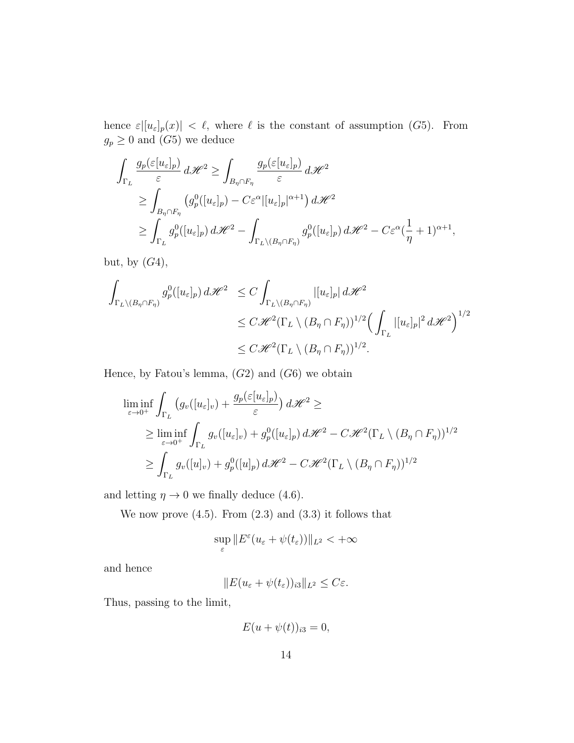hence  $\varepsilon|[u_{\varepsilon}]_p(x)| < \ell$ , where  $\ell$  is the constant of assumption (G5). From  $g_p \geq 0$  and  $(G5)$  we deduce

$$
\int_{\Gamma_L} \frac{g_p(\varepsilon[u_\varepsilon]_p)}{\varepsilon} d\mathcal{H}^2 \ge \int_{B_{\eta} \cap F_{\eta}} \frac{g_p(\varepsilon[u_\varepsilon]_p)}{\varepsilon} d\mathcal{H}^2
$$
\n
$$
\ge \int_{B_{\eta} \cap F_{\eta}} \left( g_p^0([u_\varepsilon]_p) - C\varepsilon^{\alpha} |[u_\varepsilon]_p|^{\alpha+1} \right) d\mathcal{H}^2
$$
\n
$$
\ge \int_{\Gamma_L} g_p^0([u_\varepsilon]_p) d\mathcal{H}^2 - \int_{\Gamma_L \setminus (B_{\eta} \cap F_{\eta})} g_p^0([u_\varepsilon]_p) d\mathcal{H}^2 - C\varepsilon^{\alpha} (\frac{1}{\eta} + 1)^{\alpha+1},
$$

but, by  $(G4)$ ,

$$
\int_{\Gamma_L \setminus (B_{\eta} \cap F_{\eta})} g_p^0([u_{\varepsilon}]_p) d\mathcal{H}^2 \leq C \int_{\Gamma_L \setminus (B_{\eta} \cap F_{\eta})} |[u_{\varepsilon}]_p| d\mathcal{H}^2
$$
\n
$$
\leq C \mathcal{H}^2(\Gamma_L \setminus (B_{\eta} \cap F_{\eta}))^{1/2} \Big( \int_{\Gamma_L} |[u_{\varepsilon}]_p|^2 d\mathcal{H}^2 \Big)^{1/2}
$$
\n
$$
\leq C \mathcal{H}^2(\Gamma_L \setminus (B_{\eta} \cap F_{\eta}))^{1/2}.
$$

Hence, by Fatou's lemma,  $(G2)$  and  $(G6)$  we obtain

$$
\liminf_{\varepsilon \to 0^+} \int_{\Gamma_L} \left( g_v([u_\varepsilon]_v) + \frac{g_p(\varepsilon[u_\varepsilon]_p)}{\varepsilon} \right) d\mathcal{H}^2 \ge
$$
\n
$$
\geq \liminf_{\varepsilon \to 0^+} \int_{\Gamma_L} g_v([u_\varepsilon]_v) + g_p^0([u_\varepsilon]_p) d\mathcal{H}^2 - C\mathcal{H}^2(\Gamma_L \setminus (B_\eta \cap F_\eta))^{1/2}
$$
\n
$$
\geq \int_{\Gamma_L} g_v([u]_v) + g_p^0([u]_p) d\mathcal{H}^2 - C\mathcal{H}^2(\Gamma_L \setminus (B_\eta \cap F_\eta))^{1/2}
$$

and letting  $\eta \to 0$  we finally deduce (4.6).

We now prove  $(4.5)$ . From  $(2.3)$  and  $(3.3)$  it follows that

$$
\sup_\varepsilon \|E^\varepsilon (u_\varepsilon+\psi(t_\varepsilon))\|_{L^2}<+\infty
$$

and hence

 $||E(u_{\varepsilon} + \psi(t_{\varepsilon}))_{i3}||_{L^2} \leq C\varepsilon.$ 

Thus, passing to the limit,

$$
E(u+\psi(t))_{i3}=0,
$$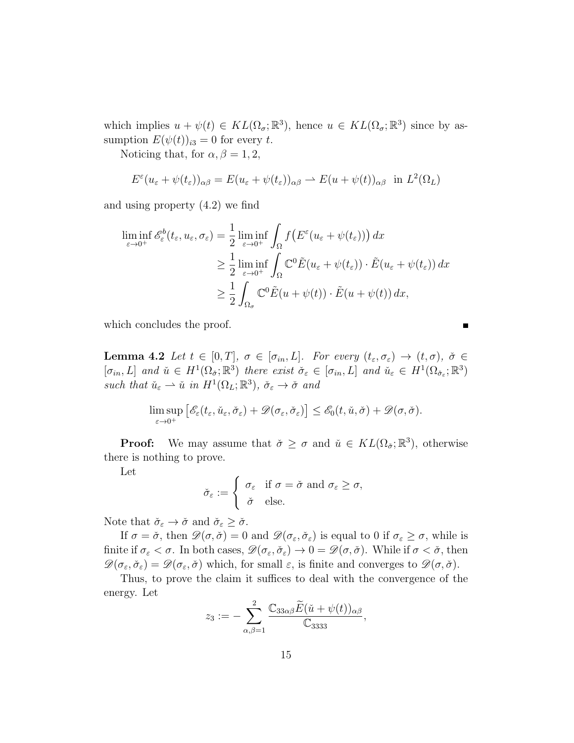which implies  $u + \psi(t) \in KL(\Omega_{\sigma}; \mathbb{R}^{3})$ , hence  $u \in KL(\Omega_{\sigma}; \mathbb{R}^{3})$  since by assumption  $E(\psi(t))_{i3} = 0$  for every t.

Noticing that, for  $\alpha, \beta = 1, 2$ ,

$$
E^{\varepsilon}(u_{\varepsilon} + \psi(t_{\varepsilon}))_{\alpha\beta} = E(u_{\varepsilon} + \psi(t_{\varepsilon}))_{\alpha\beta} \rightharpoonup E(u + \psi(t))_{\alpha\beta} \text{ in } L^{2}(\Omega_{L})
$$

and using property (4.2) we find

$$
\liminf_{\varepsilon \to 0^+} \mathscr{E}_{\varepsilon}^b(t_{\varepsilon}, u_{\varepsilon}, \sigma_{\varepsilon}) = \frac{1}{2} \liminf_{\varepsilon \to 0^+} \int_{\Omega} f\big(E^{\varepsilon}(u_{\varepsilon} + \psi(t_{\varepsilon}))\big) dx
$$
\n
$$
\geq \frac{1}{2} \liminf_{\varepsilon \to 0^+} \int_{\Omega} \mathbb{C}^0 \tilde{E}(u_{\varepsilon} + \psi(t_{\varepsilon})) \cdot \tilde{E}(u_{\varepsilon} + \psi(t_{\varepsilon})) dx
$$
\n
$$
\geq \frac{1}{2} \int_{\Omega_{\sigma}} \mathbb{C}^0 \tilde{E}(u + \psi(t)) \cdot \tilde{E}(u + \psi(t)) dx,
$$

which concludes the proof.

**Lemma 4.2** Let  $t \in [0,T]$ ,  $\sigma \in [\sigma_{in}, L]$ . For every  $(t_{\varepsilon}, \sigma_{\varepsilon}) \to (t, \sigma)$ ,  $\check{\sigma} \in$  $[\sigma_{in}, L]$  and  $\check{u} \in H^1(\Omega_{\check{\sigma}}; \mathbb{R}^3)$  there exist  $\check{\sigma}_{\varepsilon} \in [\sigma_{in}, L]$  and  $\check{u}_{\varepsilon} \in H^1(\Omega_{\check{\sigma}_{\varepsilon}}; \mathbb{R}^3)$ such that  $\check{u}_{\varepsilon} \rightharpoonup \check{u}$  in  $H^1(\Omega_L; \mathbb{R}^3)$ ,  $\check{\sigma}_{\varepsilon} \to \check{\sigma}$  and

$$
\limsup_{\varepsilon \to 0^+} \left[ \mathscr{E}_{\varepsilon}(t_{\varepsilon}, \check{u}_{\varepsilon}, \check{\sigma}_{\varepsilon}) + \mathscr{D}(\sigma_{\varepsilon}, \check{\sigma}_{\varepsilon}) \right] \leq \mathscr{E}_0(t, \check{u}, \check{\sigma}) + \mathscr{D}(\sigma, \check{\sigma}).
$$

**Proof:** We may assume that  $\check{\sigma} \geq \sigma$  and  $\check{u} \in KL(\Omega_{\check{\sigma}}; \mathbb{R}^3)$ , otherwise there is nothing to prove.

Let

$$
\check{\sigma}_{\varepsilon} := \begin{cases} \sigma_{\varepsilon} & \text{if } \sigma = \check{\sigma} \text{ and } \sigma_{\varepsilon} \geq \sigma, \\ \check{\sigma} & \text{else.} \end{cases}
$$

Note that  $\check{\sigma}_{\varepsilon} \to \check{\sigma}$  and  $\check{\sigma}_{\varepsilon} \geq \check{\sigma}$ .

If  $\sigma = \check{\sigma}$ , then  $\mathscr{D}(\sigma, \check{\sigma}) = 0$  and  $\mathscr{D}(\sigma_{\varepsilon}, \check{\sigma}_{\varepsilon})$  is equal to 0 if  $\sigma_{\varepsilon} \geq \sigma$ , while is finite if  $\sigma_{\varepsilon} < \sigma$ . In both cases,  $\mathscr{D}(\sigma_{\varepsilon}, \check{\sigma}_{\varepsilon}) \to 0 = \mathscr{D}(\sigma, \check{\sigma})$ . While if  $\sigma < \check{\sigma}$ , then  $\mathscr{D}(\sigma_{\varepsilon}, \check{\sigma}_{\varepsilon}) = \mathscr{D}(\sigma_{\varepsilon}, \check{\sigma})$  which, for small  $\varepsilon$ , is finite and converges to  $\mathscr{D}(\sigma, \check{\sigma})$ .

Thus, to prove the claim it suffices to deal with the convergence of the energy. Let

$$
z_3 := -\sum_{\alpha,\beta=1}^2 \frac{\mathbb{C}_{33\alpha\beta}\widetilde{E}(\check{u}+\psi(t))_{\alpha\beta}}{\mathbb{C}_{3333}},
$$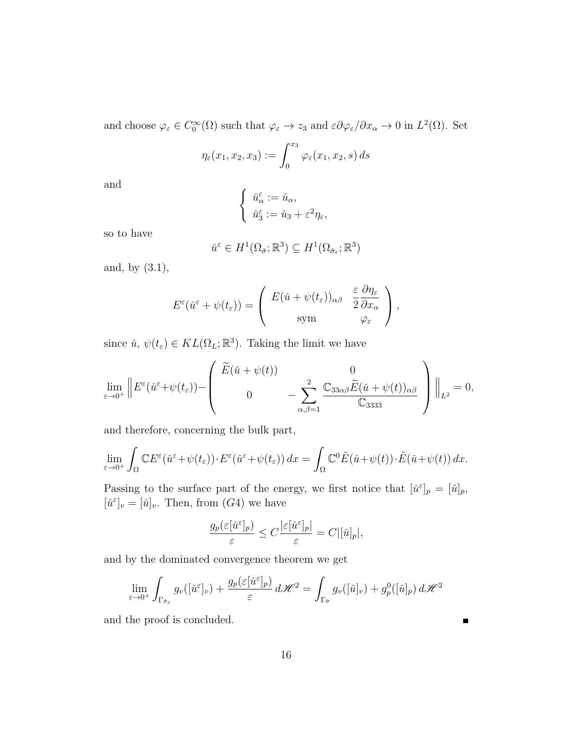and choose  $\varphi_{\varepsilon} \in C_0^{\infty}(\Omega)$  such that  $\varphi_{\varepsilon} \to z_3$  and  $\varepsilon \partial \varphi_{\varepsilon}/\partial x_{\alpha} \to 0$  in  $L^2(\Omega)$ . Set

$$
\eta_{\varepsilon}(x_1, x_2, x_3) := \int_0^{x_3} \varphi_{\varepsilon}(x_1, x_2, s) ds
$$

and

$$
\begin{cases} \check{u}_{\alpha}^{\varepsilon} := \check{u}_{\alpha}, \\ \check{u}_{3}^{\varepsilon} := \check{u}_{3} + \varepsilon^{2} \eta_{\varepsilon}, \end{cases}
$$

so to have

$$
\check{u}^{\varepsilon} \in H^1(\Omega_{\check{\sigma}}; \mathbb{R}^3) \subseteq H^1(\Omega_{\check{\sigma}_{\varepsilon}}; \mathbb{R}^3)
$$

and, by (3.1),

$$
E^{\varepsilon}(\check{u}^{\varepsilon}+\psi(t_{\varepsilon}))=\left(\begin{array}{cc}E(\check{u}+\psi(t_{\varepsilon}))_{\alpha\beta} & \frac{\varepsilon}{2}\frac{\partial\eta_{\varepsilon}}{\partial x_{\alpha}}\\ \text{sym} & \varphi_{\varepsilon}\end{array}\right),\,
$$

since  $\check{u}, \psi(t_\varepsilon) \in KL(\Omega_L; \mathbb{R}^3)$ . Taking the limit we have

$$
\lim_{\varepsilon \to 0^+} \left\| E^{\varepsilon}(\check{u}^{\varepsilon} + \psi(t_{\varepsilon})) - \left( \begin{array}{cc} \widetilde{E}(\check{u} + \psi(t)) & 0 \\ 0 & - \sum_{\alpha,\beta=1}^2 \frac{\mathbb{C}_{33\alpha\beta} \widetilde{E}(\check{u} + \psi(t))_{\alpha\beta}}{\mathbb{C}_{3333}} \end{array} \right) \right\|_{L^2} = 0,
$$

and therefore, concerning the bulk part,

$$
\lim_{\varepsilon \to 0^+} \int_{\Omega} \mathbb{C} E^{\varepsilon}(\check{u}^{\varepsilon} + \psi(t_{\varepsilon})) \cdot E^{\varepsilon}(\check{u}^{\varepsilon} + \psi(t_{\varepsilon})) dx = \int_{\Omega} \mathbb{C}^0 \tilde{E}(\check{u} + \psi(t)) \cdot \tilde{E}(\check{u} + \psi(t)) dx.
$$

Passing to the surface part of the energy, we first notice that  $[\check{u}^{\varepsilon}]_p = [\check{u}]_p$ ,  $[\check{u}^{\varepsilon}]_v = [\check{u}]_v$ . Then, from  $(G4)$  we have

$$
\frac{g_p(\varepsilon[\check{u}^{\varepsilon}]_p)}{\varepsilon} \le C \frac{|\varepsilon[\check{u}^{\varepsilon}]_p|}{\varepsilon} = C|[\check{u}]_p|,
$$

and by the dominated convergence theorem we get

$$
\lim_{\varepsilon \to 0^+} \int_{\Gamma_{\check{\sigma}_{\varepsilon}}} g_v([\check{u}^{\varepsilon}]_v) + \frac{g_p(\varepsilon[\check{u}^{\varepsilon}]_p)}{\varepsilon} d\mathcal{H}^2 = \int_{\Gamma_{\check{\sigma}}} g_v([\check{u}]_v) + g_p^0([\check{u}]_p) d\mathcal{H}^2
$$

and the proof is concluded.

П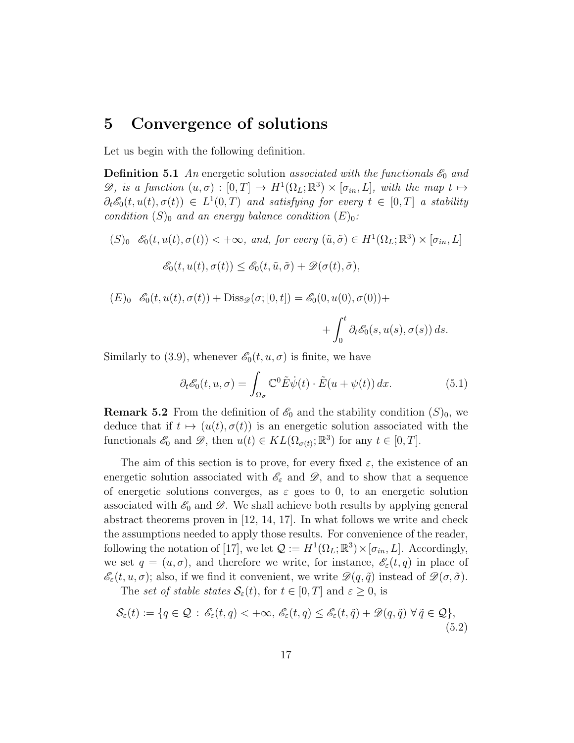# 5 Convergence of solutions

Let us begin with the following definition.

**Definition 5.1** An energetic solution associated with the functionals  $\mathscr{E}_0$  and  $\mathscr{D},$  is a function  $(u, \sigma) : [0, T] \to H^1(\Omega_L; \mathbb{R}^3) \times [\sigma_{in}, L],$  with the map  $t \mapsto$  $\partial_t \mathscr{E}_0(t, u(t), \sigma(t)) \in L^1(0,T)$  and satisfying for every  $t \in [0,T]$  a stability condition  $(S)_0$  and an energy balance condition  $(E)_0$ :

\n- $$
(\mathcal{S})_0
$$
  $\mathcal{E}_0(t, u(t), \sigma(t)) < +\infty$ , and, for every  $(\tilde{u}, \tilde{\sigma}) \in H^1(\Omega_L; \mathbb{R}^3) \times [\sigma_{in}, L]$
\n- $\mathcal{E}_0(t, u(t), \sigma(t)) \leq \mathcal{E}_0(t, \tilde{u}, \tilde{\sigma}) + \mathcal{D}(\sigma(t), \tilde{\sigma}),$
\n- $(\mathcal{E})_0$   $\mathcal{E}_0(t, u(t), \sigma(t)) + \text{Diss}_{\mathcal{D}}(\sigma; [0, t]) = \mathcal{E}_0(0, u(0), \sigma(0)) +$
\n

$$
+\int_0^t \partial_t \mathcal{E}_0(s, u(s), \sigma(s)) ds.
$$

Similarly to (3.9), whenever  $\mathscr{E}_0(t, u, \sigma)$  is finite, we have

$$
\partial_t \mathcal{E}_0(t, u, \sigma) = \int_{\Omega_{\sigma}} \mathbb{C}^0 \tilde{E} \dot{\psi}(t) \cdot \tilde{E}(u + \psi(t)) dx.
$$
 (5.1)

**Remark 5.2** From the definition of  $\mathscr{E}_0$  and the stability condition  $(S)_0$ , we deduce that if  $t \mapsto (u(t), \sigma(t))$  is an energetic solution associated with the functionals  $\mathscr{E}_0$  and  $\mathscr{D}$ , then  $u(t) \in KL(\Omega_{\sigma(t)}; \mathbb{R}^3)$  for any  $t \in [0, T]$ .

The aim of this section is to prove, for every fixed  $\varepsilon$ , the existence of an energetic solution associated with  $\mathscr{E}_{\varepsilon}$  and  $\mathscr{D}$ , and to show that a sequence of energetic solutions converges, as  $\varepsilon$  goes to 0, to an energetic solution associated with  $\mathscr{E}_0$  and  $\mathscr{D}$ . We shall achieve both results by applying general abstract theorems proven in [12, 14, 17]. In what follows we write and check the assumptions needed to apply those results. For convenience of the reader, following the notation of [17], we let  $\mathcal{Q} := H^1(\Omega_L; \mathbb{R}^3) \times [\sigma_{in}, L]$ . Accordingly, we set  $q = (u, \sigma)$ , and therefore we write, for instance,  $\mathscr{E}_{\varepsilon}(t, q)$  in place of  $\mathscr{E}_{\varepsilon}(t, u, \sigma)$ ; also, if we find it convenient, we write  $\mathscr{D}(q, \tilde{q})$  instead of  $\mathscr{D}(\sigma, \tilde{\sigma})$ .

The set of stable states  $S_{\varepsilon}(t)$ , for  $t \in [0, T]$  and  $\varepsilon \geq 0$ , is

$$
\mathcal{S}_{\varepsilon}(t) := \{ q \in \mathcal{Q} \, : \, \mathscr{E}_{\varepsilon}(t,q) < +\infty, \, \mathscr{E}_{\varepsilon}(t,q) \le \mathscr{E}_{\varepsilon}(t,\tilde{q}) + \mathscr{D}(q,\tilde{q}) \, \forall \, \tilde{q} \in \mathcal{Q} \},\tag{5.2}
$$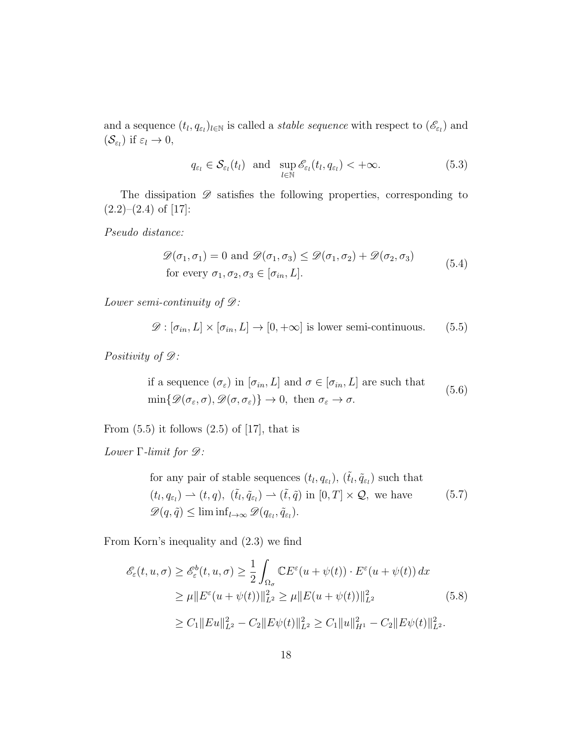and a sequence  $(t_l, q_{\varepsilon_l})_{l \in \mathbb{N}}$  is called a *stable sequence* with respect to  $(\mathscr{E}_{\varepsilon_l})$  and  $(\mathcal{S}_{\varepsilon_l})$  if  $\varepsilon_l \to 0$ ,

$$
q_{\varepsilon_l} \in \mathcal{S}_{\varepsilon_l}(t_l) \text{ and } \sup_{l \in \mathbb{N}} \mathcal{E}_{\varepsilon_l}(t_l, q_{\varepsilon_l}) < +\infty.
$$
 (5.3)

The dissipation  $\mathscr D$  satisfies the following properties, corresponding to  $(2.2)$ – $(2.4)$  of [17]:

Pseudo distance:

$$
\mathcal{D}(\sigma_1, \sigma_1) = 0 \text{ and } \mathcal{D}(\sigma_1, \sigma_3) \leq \mathcal{D}(\sigma_1, \sigma_2) + \mathcal{D}(\sigma_2, \sigma_3)
$$
  
for every  $\sigma_1, \sigma_2, \sigma_3 \in [\sigma_{in}, L]$ . (5.4)

Lower semi-continuity of  $\mathscr{D}$ :

$$
\mathcal{D} : [\sigma_{in}, L] \times [\sigma_{in}, L] \to [0, +\infty]
$$
 is lower semi-continuous. (5.5)

Positivity of  $\mathscr{D}$ :

if a sequence  $(\sigma_{\varepsilon})$  in  $[\sigma_{in}, L]$  and  $\sigma \in [\sigma_{in}, L]$  are such that  $\min\{\mathscr{D}(\sigma_\varepsilon,\sigma),\mathscr{D}(\sigma,\sigma_\varepsilon)\}\to 0,\text{ then }\sigma_\varepsilon\to\sigma.$ (5.6)

From  $(5.5)$  it follows  $(2.5)$  of  $[17]$ , that is

Lower  $\Gamma$ -limit for  $\mathscr{D}$ :

for any pair of stable sequences 
$$
(t_l, q_{\varepsilon_l})
$$
,  $(\tilde{t}_l, \tilde{q}_{\varepsilon_l})$  such that  
\n $(t_l, q_{\varepsilon_l}) \rightarrow (t, q)$ ,  $(\tilde{t}_l, \tilde{q}_{\varepsilon_l}) \rightarrow (\tilde{t}, \tilde{q})$  in  $[0, T] \times \mathcal{Q}$ , we have  
\n $\mathscr{D}(q, \tilde{q}) \leq \liminf_{l \to \infty} \mathscr{D}(q_{\varepsilon_l}, \tilde{q}_{\varepsilon_l})$ . (5.7)

From Korn's inequality and (2.3) we find

$$
\mathcal{E}_{\varepsilon}(t, u, \sigma) \ge \mathcal{E}_{\varepsilon}^{b}(t, u, \sigma) \ge \frac{1}{2} \int_{\Omega_{\sigma}} \mathbb{C}E^{\varepsilon}(u + \psi(t)) \cdot E^{\varepsilon}(u + \psi(t)) dx
$$
  
\n
$$
\ge \mu \|E^{\varepsilon}(u + \psi(t))\|_{L^{2}}^{2} \ge \mu \|E(u + \psi(t))\|_{L^{2}}^{2}
$$
 (5.8)  
\n
$$
\ge C_{1} \|Eu\|_{L^{2}}^{2} - C_{2} \|E\psi(t)\|_{L^{2}}^{2} \ge C_{1} \|u\|_{H^{1}}^{2} - C_{2} \|E\psi(t)\|_{L^{2}}^{2}.
$$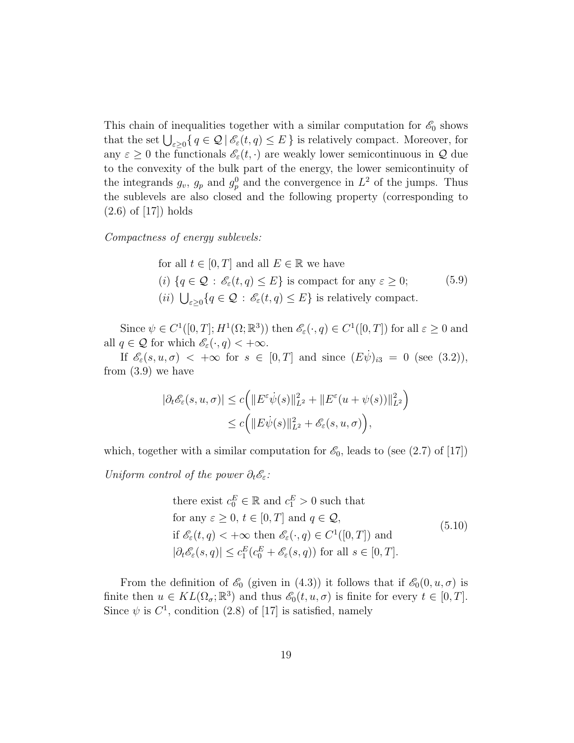This chain of inequalities together with a similar computation for  $\mathscr{E}_0$  shows that the set  $\bigcup_{\varepsilon>0} \{ q \in \mathcal{Q} \mid \mathscr{E}_{\varepsilon}(t,q) \leq E \}$  is relatively compact. Moreover, for any  $\varepsilon \geq 0$  the functionals  $\mathscr{E}_{\varepsilon}(t, \cdot)$  are weakly lower semicontinuous in  $\mathcal Q$  due to the convexity of the bulk part of the energy, the lower semicontinuity of the integrands  $g_v$ ,  $g_p$  and  $g_p^0$  and the convergence in  $L^2$  of the jumps. Thus the sublevels are also closed and the following property (corresponding to (2.6) of [17]) holds

Compactness of energy sublevels:

for all 
$$
t \in [0, T]
$$
 and all  $E \in \mathbb{R}$  we have  
\n(i)  $\{q \in \mathcal{Q} : \mathscr{E}_{\varepsilon}(t, q) \leq E\}$  is compact for any  $\varepsilon \geq 0$ ;\n  
\n(ii)  $\bigcup_{\varepsilon \geq 0} \{q \in \mathcal{Q} : \mathscr{E}_{\varepsilon}(t, q) \leq E\}$  is relatively compact. (5.9)

Since  $\psi \in C^1([0,T]; H^1(\Omega;\mathbb{R}^3))$  then  $\mathscr{E}_{\varepsilon}(\cdot, q) \in C^1([0,T])$  for all  $\varepsilon \geq 0$  and all  $q \in \mathcal{Q}$  for which  $\mathscr{E}_{\varepsilon}(\cdot, q) < +\infty$ .

If  $\mathscr{E}_{\varepsilon}(s, u, \sigma) < +\infty$  for  $s \in [0, T]$  and since  $(E\dot{\psi})_{i3} = 0$  (see (3.2)), from (3.9) we have

$$
|\partial_t \mathscr{E}_{\varepsilon}(s, u, \sigma)| \le c \Big( \|E^{\varepsilon} \dot{\psi}(s)\|_{L^2}^2 + \|E^{\varepsilon}(u + \psi(s))\|_{L^2}^2 \Big) \le c \Big( \|E \dot{\psi}(s)\|_{L^2}^2 + \mathscr{E}_{\varepsilon}(s, u, \sigma) \Big),
$$

which, together with a similar computation for  $\mathscr{E}_0$ , leads to (see (2.7) of [17])

Uniform control of the power  $\partial_t \mathscr{E}_{\varepsilon}$ :

there exist 
$$
c_0^E \in \mathbb{R}
$$
 and  $c_1^E > 0$  such that  
for any  $\varepsilon \ge 0$ ,  $t \in [0, T]$  and  $q \in \mathcal{Q}$ ,  
if  $\mathcal{E}_{\varepsilon}(t, q) < +\infty$  then  $\mathcal{E}_{\varepsilon}(\cdot, q) \in C^1([0, T])$  and  
 $|\partial_t \mathcal{E}_{\varepsilon}(s, q)| \le c_1^E(c_0^E + \mathcal{E}_{\varepsilon}(s, q))$  for all  $s \in [0, T]$ .  
(5.10)

From the definition of  $\mathscr{E}_0$  (given in (4.3)) it follows that if  $\mathscr{E}_0(0, u, \sigma)$  is finite then  $u \in KL(\Omega_{\sigma}; \mathbb{R}^3)$  and thus  $\mathscr{E}_0(t, u, \sigma)$  is finite for every  $t \in [0, T]$ . Since  $\psi$  is  $C^1$ , condition (2.8) of [17] is satisfied, namely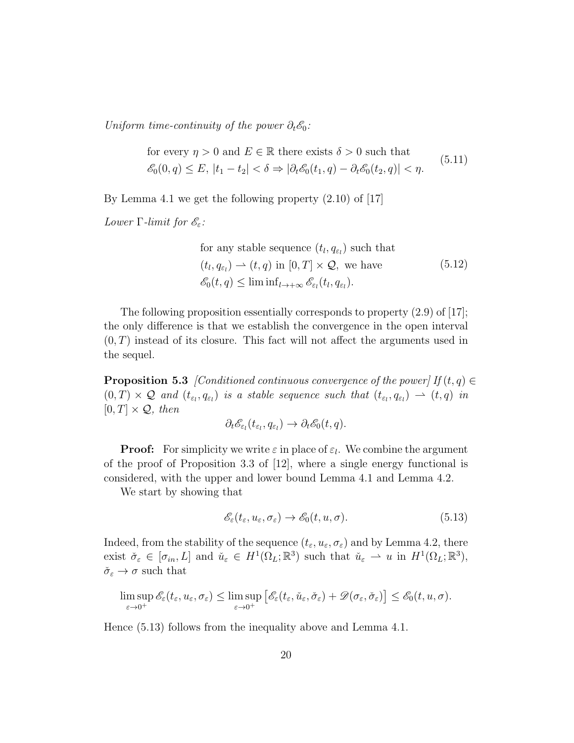Uniform time-continuity of the power  $\partial_t \mathscr{E}_0$ :

for every 
$$
\eta > 0
$$
 and  $E \in \mathbb{R}$  there exists  $\delta > 0$  such that  
 $\mathcal{E}_0(0, q) \le E$ ,  $|t_1 - t_2| < \delta \Rightarrow |\partial_t \mathcal{E}_0(t_1, q) - \partial_t \mathcal{E}_0(t_2, q)| < \eta$ . (5.11)

By Lemma 4.1 we get the following property (2.10) of [17]

Lower  $\Gamma$ -limit for  $\mathscr{E}_{\varepsilon}$ :

for any stable sequence 
$$
(t_l, q_{\varepsilon_l})
$$
 such that  
\n $(t_l, q_{\varepsilon_l}) \to (t, q)$  in  $[0, T] \times \mathcal{Q}$ , we have  
\n $\mathscr{E}_0(t, q) \le \liminf_{l \to +\infty} \mathscr{E}_{\varepsilon_l}(t_l, q_{\varepsilon_l})$ . (5.12)

The following proposition essentially corresponds to property (2.9) of [17]; the only difference is that we establish the convergence in the open interval  $(0, T)$  instead of its closure. This fact will not affect the arguments used in the sequel.

**Proposition 5.3** [Conditioned continuous convergence of the power] If  $(t, q) \in$  $(0,T) \times \mathcal{Q}$  and  $(t_{\varepsilon_l}, q_{\varepsilon_l})$  is a stable sequence such that  $(t_{\varepsilon_l}, q_{\varepsilon_l}) \to (t,q)$  in  $[0, T] \times \mathcal{Q}$ , then

$$
\partial_t \mathscr{E}_{\varepsilon_l}(t_{\varepsilon_l}, q_{\varepsilon_l}) \to \partial_t \mathscr{E}_0(t, q).
$$

**Proof:** For simplicity we write  $\varepsilon$  in place of  $\varepsilon_l$ . We combine the argument of the proof of Proposition 3.3 of [12], where a single energy functional is considered, with the upper and lower bound Lemma 4.1 and Lemma 4.2.

We start by showing that

$$
\mathscr{E}_{\varepsilon}(t_{\varepsilon}, u_{\varepsilon}, \sigma_{\varepsilon}) \to \mathscr{E}_{0}(t, u, \sigma). \tag{5.13}
$$

Indeed, from the stability of the sequence  $(t_{\varepsilon}, u_{\varepsilon}, \sigma_{\varepsilon})$  and by Lemma 4.2, there exist  $\check{\sigma}_{\varepsilon} \in [\sigma_{in}, L]$  and  $\check{u}_{\varepsilon} \in H^1(\Omega_L; \mathbb{R}^3)$  such that  $\check{u}_{\varepsilon} \rightharpoonup u$  in  $H^1(\Omega_L; \mathbb{R}^3)$ ,  $\check{\sigma}_{\varepsilon} \to \sigma$  such that

$$
\limsup_{\varepsilon \to 0^+} \mathscr{E}_{\varepsilon}(t_{\varepsilon}, u_{\varepsilon}, \sigma_{\varepsilon}) \leq \limsup_{\varepsilon \to 0^+} \left[ \mathscr{E}_{\varepsilon}(t_{\varepsilon}, \check{u}_{\varepsilon}, \check{\sigma}_{\varepsilon}) + \mathscr{D}(\sigma_{\varepsilon}, \check{\sigma}_{\varepsilon}) \right] \leq \mathscr{E}_{0}(t, u, \sigma).
$$

Hence (5.13) follows from the inequality above and Lemma 4.1.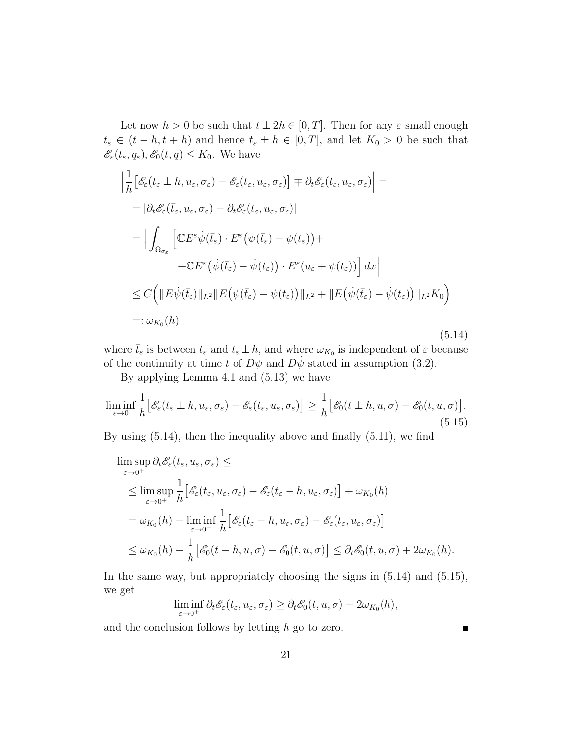Let now  $h > 0$  be such that  $t \pm 2h \in [0, T]$ . Then for any  $\varepsilon$  small enough  $t_{\varepsilon} \in (t-h, t+h)$  and hence  $t_{\varepsilon} \pm h \in [0,T]$ , and let  $K_0 > 0$  be such that  $\mathscr{E}_{\varepsilon}(t_{\varepsilon}, q_{\varepsilon}), \mathscr{E}_{0}(t, q) \leq K_{0}$ . We have

$$
\left| \frac{1}{h} \left[ \mathcal{E}_{\varepsilon}(t_{\varepsilon} \pm h, u_{\varepsilon}, \sigma_{\varepsilon}) - \mathcal{E}_{\varepsilon}(t_{\varepsilon}, u_{\varepsilon}, \sigma_{\varepsilon}) \right] \right| =
$$
\n
$$
= |\partial_{t} \mathcal{E}_{\varepsilon}(\bar{t}_{\varepsilon}, u_{\varepsilon}, \sigma_{\varepsilon}) - \partial_{t} \mathcal{E}_{\varepsilon}(t_{\varepsilon}, u_{\varepsilon}, \sigma_{\varepsilon})|
$$
\n
$$
= \left| \int_{\Omega_{\sigma_{\varepsilon}}} \left[ \mathbb{C} E^{\varepsilon} \dot{\psi}(\bar{t}_{\varepsilon}) \cdot E^{\varepsilon} (\psi(\bar{t}_{\varepsilon}) - \psi(t_{\varepsilon})) + \mathbb{C} E^{\varepsilon} (\dot{\psi}(\bar{t}_{\varepsilon}) - \dot{\psi}(t_{\varepsilon})) \cdot E^{\varepsilon} (u_{\varepsilon} + \psi(t_{\varepsilon})) \right] dx \right|
$$
\n
$$
\leq C \left( \| E \dot{\psi}(\bar{t}_{\varepsilon}) \|_{L^{2}} \| E (\psi(\bar{t}_{\varepsilon}) - \psi(t_{\varepsilon})) \|_{L^{2}} + \| E (\dot{\psi}(\bar{t}_{\varepsilon}) - \dot{\psi}(t_{\varepsilon})) \|_{L^{2}} K_{0} \right)
$$
\n
$$
=: \omega_{K_{0}}(h) \tag{5.14}
$$

where  $\bar{t}_{\varepsilon}$  is between  $t_{\varepsilon}$  and  $t_{\varepsilon} \pm h$ , and where  $\omega_{K_0}$  is independent of  $\varepsilon$  because of the continuity at time t of  $D\psi$  and  $D\dot{\psi}$  stated in assumption (3.2).

By applying Lemma 4.1 and (5.13) we have

$$
\liminf_{\varepsilon \to 0} \frac{1}{h} \left[ \mathcal{E}_{\varepsilon}(t_{\varepsilon} \pm h, u_{\varepsilon}, \sigma_{\varepsilon}) - \mathcal{E}_{\varepsilon}(t_{\varepsilon}, u_{\varepsilon}, \sigma_{\varepsilon}) \right] \ge \frac{1}{h} \left[ \mathcal{E}_{0}(t \pm h, u, \sigma) - \mathcal{E}_{0}(t, u, \sigma) \right].
$$
\n(5.15)

By using (5.14), then the inequality above and finally (5.11), we find

$$
\limsup_{\varepsilon \to 0^{+}} \partial_{t} \mathcal{E}_{\varepsilon}(t_{\varepsilon}, u_{\varepsilon}, \sigma_{\varepsilon}) \le
$$
\n
$$
\le \limsup_{\varepsilon \to 0^{+}} \frac{1}{h} \Big[ \mathcal{E}_{\varepsilon}(t_{\varepsilon}, u_{\varepsilon}, \sigma_{\varepsilon}) - \mathcal{E}_{\varepsilon}(t_{\varepsilon} - h, u_{\varepsilon}, \sigma_{\varepsilon}) \Big] + \omega_{K_{0}}(h)
$$
\n
$$
= \omega_{K_{0}}(h) - \liminf_{\varepsilon \to 0^{+}} \frac{1}{h} \Big[ \mathcal{E}_{\varepsilon}(t_{\varepsilon} - h, u_{\varepsilon}, \sigma_{\varepsilon}) - \mathcal{E}_{\varepsilon}(t_{\varepsilon}, u_{\varepsilon}, \sigma_{\varepsilon}) \Big]
$$
\n
$$
\le \omega_{K_{0}}(h) - \frac{1}{h} \Big[ \mathcal{E}_{0}(t - h, u, \sigma) - \mathcal{E}_{0}(t, u, \sigma) \Big] \le \partial_{t} \mathcal{E}_{0}(t, u, \sigma) + 2\omega_{K_{0}}(h).
$$

In the same way, but appropriately choosing the signs in  $(5.14)$  and  $(5.15)$ , we get

$$
\liminf_{\varepsilon \to 0^+} \partial_t \mathscr{E}_{\varepsilon}(t_{\varepsilon}, u_{\varepsilon}, \sigma_{\varepsilon}) \geq \partial_t \mathscr{E}_0(t, u, \sigma) - 2\omega_{K_0}(h),
$$

and the conclusion follows by letting  $h$  go to zero.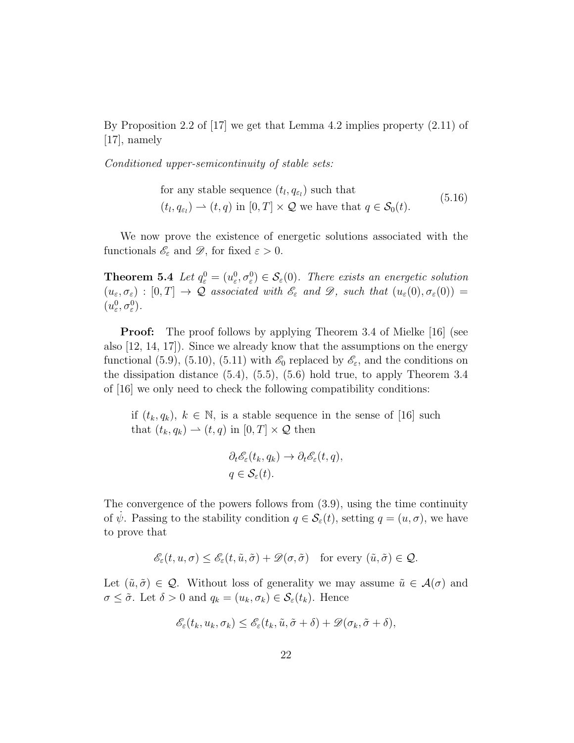By Proposition 2.2 of [17] we get that Lemma 4.2 implies property (2.11) of [17], namely

Conditioned upper-semicontinuity of stable sets:

for any stable sequence  $(t_l, q_{\varepsilon_l})$  such that  $(t_l, q_{\varepsilon_l}) \rightharpoonup (t, q)$  in  $[0, T] \times \mathcal{Q}$  we have that  $q \in \mathcal{S}_0(t)$ . (5.16)

We now prove the existence of energetic solutions associated with the functionals  $\mathscr{E}_{\varepsilon}$  and  $\mathscr{D}$ , for fixed  $\varepsilon > 0$ .

**Theorem 5.4** Let  $q_{\varepsilon}^0 = (u_{\varepsilon}^0, \sigma_{\varepsilon}^0) \in \mathcal{S}_{\varepsilon}(0)$ . There exists an energetic solution  $(u_{\varepsilon}, \sigma_{\varepsilon}) : [0, T] \to \mathcal{Q}$  associated with  $\mathscr{E}_{\varepsilon}$  and  $\mathscr{D}$ , such that  $(u_{\varepsilon}(0), \sigma_{\varepsilon}(0)) =$  $(u_{\varepsilon}^0, \sigma_{\varepsilon}^0)$ .

**Proof:** The proof follows by applying Theorem 3.4 of Mielke [16] (see also [12, 14, 17]). Since we already know that the assumptions on the energy functional (5.9), (5.10), (5.11) with  $\mathscr{E}_0$  replaced by  $\mathscr{E}_\varepsilon$ , and the conditions on the dissipation distance (5.4), (5.5), (5.6) hold true, to apply Theorem 3.4 of [16] we only need to check the following compatibility conditions:

if  $(t_k, q_k)$ ,  $k \in \mathbb{N}$ , is a stable sequence in the sense of [16] such that  $(t_k, q_k) \rightarrow (t, q)$  in  $[0, T] \times \mathcal{Q}$  then

$$
\partial_t \mathscr{E}_{\varepsilon}(t_k, q_k) \to \partial_t \mathscr{E}_{\varepsilon}(t, q),
$$
  
 
$$
q \in \mathcal{S}_{\varepsilon}(t).
$$

The convergence of the powers follows from (3.9), using the time continuity of  $\dot{\psi}$ . Passing to the stability condition  $q \in \mathcal{S}_{\varepsilon}(t)$ , setting  $q = (u, \sigma)$ , we have to prove that

$$
\mathscr{E}_{\varepsilon}(t, u, \sigma) \leq \mathscr{E}_{\varepsilon}(t, \tilde{u}, \tilde{\sigma}) + \mathscr{D}(\sigma, \tilde{\sigma}) \quad \text{for every } (\tilde{u}, \tilde{\sigma}) \in \mathcal{Q}.
$$

Let  $(\tilde{u}, \tilde{\sigma}) \in \mathcal{Q}$ . Without loss of generality we may assume  $\tilde{u} \in \mathcal{A}(\sigma)$  and  $\sigma \leq \tilde{\sigma}$ . Let  $\delta > 0$  and  $q_k = (u_k, \sigma_k) \in \mathcal{S}_{\varepsilon}(t_k)$ . Hence

$$
\mathscr{E}_{\varepsilon}(t_k, u_k, \sigma_k) \leq \mathscr{E}_{\varepsilon}(t_k, \tilde{u}, \tilde{\sigma} + \delta) + \mathscr{D}(\sigma_k, \tilde{\sigma} + \delta),
$$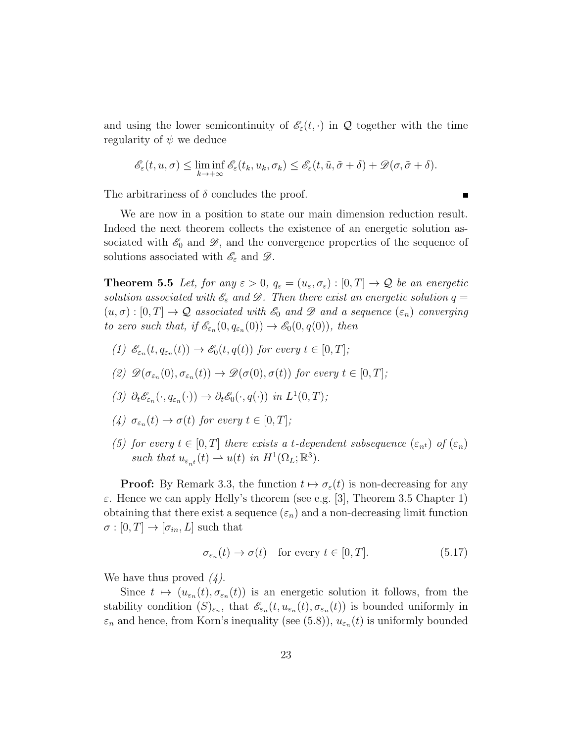and using the lower semicontinuity of  $\mathcal{E}_{\varepsilon}(t, \cdot)$  in Q together with the time regularity of  $\psi$  we deduce

$$
\mathscr{E}_{\varepsilon}(t, u, \sigma) \leq \liminf_{k \to +\infty} \mathscr{E}_{\varepsilon}(t_k, u_k, \sigma_k) \leq \mathscr{E}_{\varepsilon}(t, \tilde{u}, \tilde{\sigma} + \delta) + \mathscr{D}(\sigma, \tilde{\sigma} + \delta).
$$

The arbitrariness of  $\delta$  concludes the proof.

We are now in a position to state our main dimension reduction result. Indeed the next theorem collects the existence of an energetic solution associated with  $\mathscr{E}_0$  and  $\mathscr{D}$ , and the convergence properties of the sequence of solutions associated with  $\mathscr{E}_{\varepsilon}$  and  $\mathscr{D}$ .

**Theorem 5.5** Let, for any  $\varepsilon > 0$ ,  $q_{\varepsilon} = (u_{\varepsilon}, \sigma_{\varepsilon}) : [0, T] \to \mathcal{Q}$  be an energetic solution associated with  $\mathscr{E}_{\varepsilon}$  and  $\mathscr{D}$ . Then there exist an energetic solution  $q =$  $(u, \sigma) : [0, T] \to \mathcal{Q}$  associated with  $\mathscr{E}_0$  and  $\mathscr{D}$  and a sequence  $(\varepsilon_n)$  converging to zero such that, if  $\mathscr{E}_{\varepsilon_n}(0, q_{\varepsilon_n}(0)) \to \mathscr{E}_0(0, q(0))$ , then

- (1)  $\mathscr{E}_{\varepsilon_n}(t, q_{\varepsilon_n}(t)) \to \mathscr{E}_0(t, q(t))$  for every  $t \in [0, T]$ ;
- (2)  $\mathscr{D}(\sigma_{\varepsilon_n}(0), \sigma_{\varepsilon_n}(t)) \to \mathscr{D}(\sigma(0), \sigma(t))$  for every  $t \in [0, T]$ ;
- (3)  $\partial_t \mathscr{E}_{\varepsilon_n}(\cdot, q_{\varepsilon_n}(\cdot)) \to \partial_t \mathscr{E}_0(\cdot, q(\cdot))$  in  $L^1(0,T)$ ;
- (4)  $\sigma_{\varepsilon_n}(t) \to \sigma(t)$  for every  $t \in [0, T]$ ;
- (5) for every  $t \in [0, T]$  there exists a t-dependent subsequence  $(\varepsilon_{n^t})$  of  $(\varepsilon_n)$ such that  $u_{\varepsilon_{n^t}}(t) \rightharpoonup u(t)$  in  $H^1(\Omega_L; \mathbb{R}^3)$ .

**Proof:** By Remark 3.3, the function  $t \mapsto \sigma_{\varepsilon}(t)$  is non-decreasing for any ε. Hence we can apply Helly's theorem (see e.g. [3], Theorem 3.5 Chapter 1) obtaining that there exist a sequence  $(\varepsilon_n)$  and a non-decreasing limit function  $\sigma:[0,T]\to[\sigma_{in},L]$  such that

$$
\sigma_{\varepsilon_n}(t) \to \sigma(t) \quad \text{for every } t \in [0, T]. \tag{5.17}
$$

We have thus proved  $(4)$ .

Since  $t \mapsto (u_{\varepsilon_n}(t), \sigma_{\varepsilon_n}(t))$  is an energetic solution it follows, from the stability condition  $(S)_{\varepsilon_n}$ , that  $\mathscr{E}_{\varepsilon_n}(t, u_{\varepsilon_n}(t), \sigma_{\varepsilon_n}(t))$  is bounded uniformly in  $\varepsilon_n$  and hence, from Korn's inequality (see (5.8)),  $u_{\varepsilon_n}(t)$  is uniformly bounded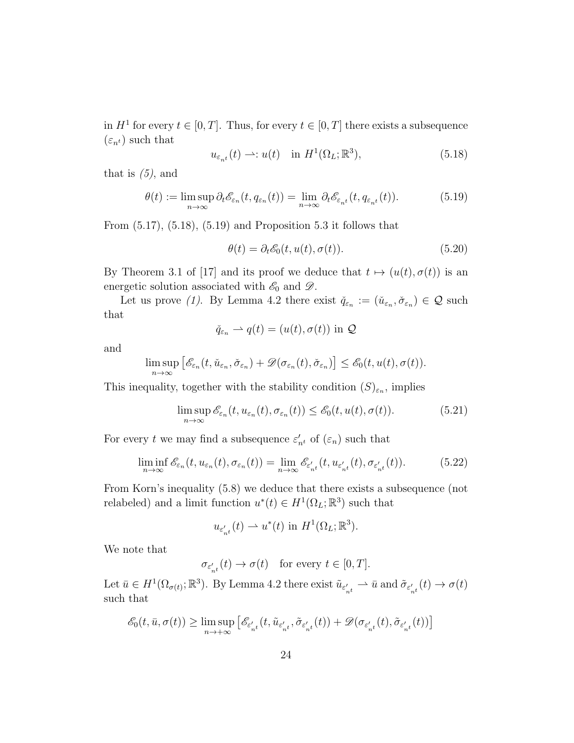in  $H^1$  for every  $t \in [0, T]$ . Thus, for every  $t \in [0, T]$  there exists a subsequence  $(\varepsilon_{n^t})$  such that

$$
u_{\varepsilon_{n}t}(t) \longrightarrow: u(t) \quad \text{in } H^{1}(\Omega_{L}; \mathbb{R}^{3}), \tag{5.18}
$$

that is  $(5)$ , and

$$
\theta(t) := \limsup_{n \to \infty} \partial_t \mathcal{E}_{\varepsilon_n}(t, q_{\varepsilon_n}(t)) = \lim_{n \to \infty} \partial_t \mathcal{E}_{\varepsilon_{n^t}}(t, q_{\varepsilon_{n^t}}(t)). \tag{5.19}
$$

From  $(5.17)$ ,  $(5.18)$ ,  $(5.19)$  and Proposition 5.3 it follows that

$$
\theta(t) = \partial_t \mathcal{E}_0(t, u(t), \sigma(t)).
$$
\n(5.20)

By Theorem 3.1 of [17] and its proof we deduce that  $t \mapsto (u(t), \sigma(t))$  is an energetic solution associated with  $\mathscr{E}_0$  and  $\mathscr{D}$ .

Let us prove (1). By Lemma 4.2 there exist  $\check{q}_{\varepsilon_n} := (\check{u}_{\varepsilon_n}, \check{\sigma}_{\varepsilon_n}) \in \mathcal{Q}$  such that

$$
\check{q}_{\varepsilon_n} \rightharpoonup q(t) = (u(t), \sigma(t))
$$
 in  $Q$ 

and

$$
\limsup_{n\to\infty}\big[\mathscr{E}_{\varepsilon_n}(t,\check{u}_{\varepsilon_n},\check{\sigma}_{\varepsilon_n})+\mathscr{D}(\sigma_{\varepsilon_n}(t),\check{\sigma}_{\varepsilon_n})\big]\leq \mathscr{E}_0(t,u(t),\sigma(t)).
$$

This inequality, together with the stability condition  $(S)_{\varepsilon_n}$ , implies

$$
\limsup_{n \to \infty} \mathcal{E}_{\varepsilon_n}(t, u_{\varepsilon_n}(t), \sigma_{\varepsilon_n}(t)) \le \mathcal{E}_0(t, u(t), \sigma(t)). \tag{5.21}
$$

For every t we may find a subsequence  $\varepsilon'_{n^t}$  of  $(\varepsilon_n)$  such that

$$
\liminf_{n \to \infty} \mathcal{E}_{\varepsilon_n}(t, u_{\varepsilon_n}(t), \sigma_{\varepsilon_n}(t)) = \lim_{n \to \infty} \mathcal{E}_{\varepsilon_n'}(t, u_{\varepsilon_n'}(t), \sigma_{\varepsilon_n'}(t)).
$$
\n(5.22)

From Korn's inequality (5.8) we deduce that there exists a subsequence (not relabeled) and a limit function  $u^*(t) \in H^1(\Omega_L; \mathbb{R}^3)$  such that

$$
u_{\varepsilon'_{n^t}}(t) \rightharpoonup u^*(t) \text{ in } H^1(\Omega_L; \mathbb{R}^3).
$$

We note that

$$
\sigma_{\varepsilon_{n^{t}}^{\prime}}(t)\rightarrow \sigma(t) \quad \text{for every } t\in [0,T].
$$

Let  $\bar{u} \in H^1(\Omega_{\sigma(t)}; \mathbb{R}^3)$ . By Lemma 4.2 there exist  $\tilde{u}_{\varepsilon'_{nt}} \to \bar{u}$  and  $\tilde{\sigma}_{\varepsilon'_{nt}}(t) \to \sigma(t)$ such that

$$
\mathscr{E}_0(t,\bar{u},\sigma(t))\geq \limsup_{n\to+\infty}\left[\mathscr{E}_{\varepsilon_{n^t}'}(t,\tilde{u}_{\varepsilon_{n^t}'},\tilde{\sigma}_{\varepsilon_{n^t}'}(t))+\mathscr{D}(\sigma_{\varepsilon_{n^t}'}(t),\tilde{\sigma}_{\varepsilon_{n^t}'}(t))\right]
$$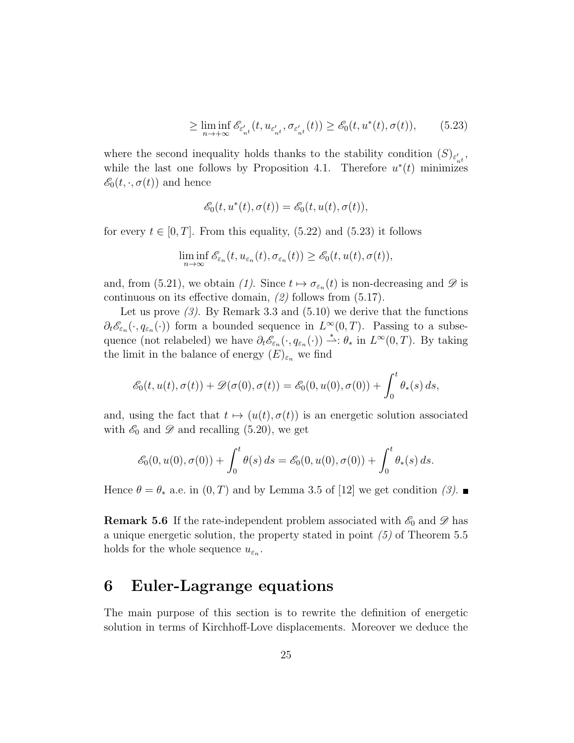$$
\geq \liminf_{n \to +\infty} \mathscr{E}_{\varepsilon'_{n}t}(t, u_{\varepsilon'_{n}t}, \sigma_{\varepsilon'_{n}t}(t)) \geq \mathscr{E}_{0}(t, u^{*}(t), \sigma(t)),\tag{5.23}
$$

where the second inequality holds thanks to the stability condition  $(S)_{\varepsilon'_{n^t}}$ , while the last one follows by Proposition 4.1. Therefore  $u^*(t)$  minimizes  $\mathscr{E}_0(t,\cdot,\sigma(t))$  and hence

$$
\mathscr{E}_0(t, u^*(t), \sigma(t)) = \mathscr{E}_0(t, u(t), \sigma(t)),
$$

for every  $t \in [0, T]$ . From this equality, (5.22) and (5.23) it follows

$$
\liminf_{n\to\infty} \mathscr{E}_{\varepsilon_n}(t, u_{\varepsilon_n}(t), \sigma_{\varepsilon_n}(t)) \geq \mathscr{E}_0(t, u(t), \sigma(t)),
$$

and, from (5.21), we obtain (1). Since  $t \mapsto \sigma_{\varepsilon_n}(t)$  is non-decreasing and  $\mathscr D$  is continuous on its effective domain, (2) follows from (5.17).

Let us prove  $(3)$ . By Remark 3.3 and  $(5.10)$  we derive that the functions  $\partial_t \mathscr{E}_{\varepsilon_n}(\cdot, q_{\varepsilon_n}(\cdot))$  form a bounded sequence in  $L^{\infty}(0,T)$ . Passing to a subsequence (not relabeled) we have  $\partial_t \mathscr{E}_{\varepsilon_n}(\cdot, q_{\varepsilon_n}(\cdot)) \stackrel{*}{\rightharpoonup} \theta_*$  in  $L^{\infty}(0,T)$ . By taking the limit in the balance of energy  $(E)_{\varepsilon_n}$  we find

$$
\mathscr{E}_0(t, u(t), \sigma(t)) + \mathscr{D}(\sigma(0), \sigma(t)) = \mathscr{E}_0(0, u(0), \sigma(0)) + \int_0^t \theta_*(s) ds,
$$

and, using the fact that  $t \mapsto (u(t), \sigma(t))$  is an energetic solution associated with  $\mathscr{E}_0$  and  $\mathscr{D}$  and recalling (5.20), we get

$$
\mathscr{E}_0(0, u(0), \sigma(0)) + \int_0^t \theta(s) ds = \mathscr{E}_0(0, u(0), \sigma(0)) + \int_0^t \theta_*(s) ds.
$$

Hence  $\theta = \theta_*$  a.e. in  $(0, T)$  and by Lemma 3.5 of [12] we get condition (3).

**Remark 5.6** If the rate-independent problem associated with  $\mathscr{E}_0$  and  $\mathscr{D}$  has a unique energetic solution, the property stated in point  $(5)$  of Theorem 5.5 holds for the whole sequence  $u_{\varepsilon_n}$ .

# 6 Euler-Lagrange equations

The main purpose of this section is to rewrite the definition of energetic solution in terms of Kirchhoff-Love displacements. Moreover we deduce the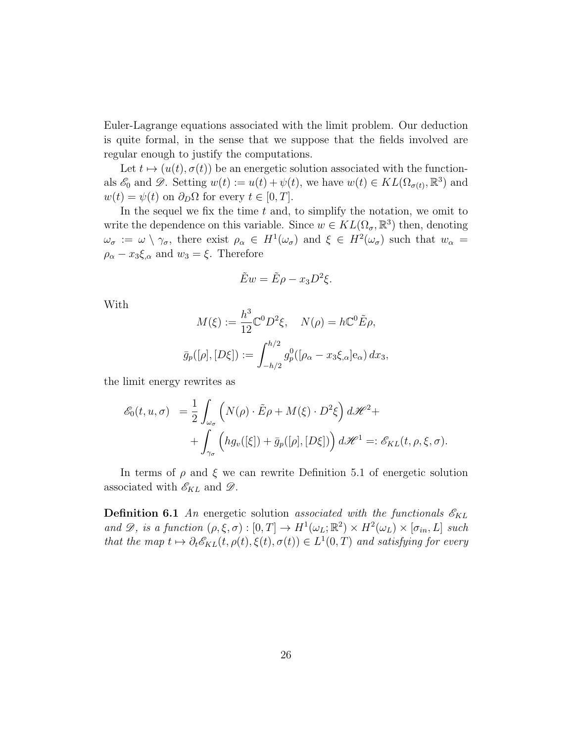Euler-Lagrange equations associated with the limit problem. Our deduction is quite formal, in the sense that we suppose that the fields involved are regular enough to justify the computations.

Let  $t \mapsto (u(t), \sigma(t))$  be an energetic solution associated with the functionals  $\mathscr{E}_0$  and  $\mathscr{D}$ . Setting  $w(t) := u(t) + \psi(t)$ , we have  $w(t) \in KL(\Omega_{\sigma(t)}, \mathbb{R}^3)$  and  $w(t) = \psi(t)$  on  $\partial_D \Omega$  for every  $t \in [0, T]$ .

In the sequel we fix the time  $t$  and, to simplify the notation, we omit to write the dependence on this variable. Since  $w \in KL(\Omega_{\sigma}, \mathbb{R}^{3})$  then, denoting  $\omega_{\sigma} := \omega \setminus \gamma_{\sigma}$ , there exist  $\rho_{\alpha} \in H^{1}(\omega_{\sigma})$  and  $\xi \in H^{2}(\omega_{\sigma})$  such that  $w_{\alpha} =$  $\rho_{\alpha} - x_3 \xi_{,\alpha}$  and  $w_3 = \xi$ . Therefore

$$
\tilde{E}w = \tilde{E}\rho - x_3 D^2 \xi.
$$

With

$$
M(\xi) := \frac{h^3}{12} \mathbb{C}^0 D^2 \xi, \quad N(\rho) = h \mathbb{C}^0 \tilde{E} \rho,
$$
  

$$
\bar{g}_p([\rho], [D\xi]) := \int_{-h/2}^{h/2} g_p^0([\rho_\alpha - x_3 \xi_\alpha] e_\alpha) dx_3,
$$

the limit energy rewrites as

$$
\mathcal{E}_0(t, u, \sigma) = \frac{1}{2} \int_{\omega_{\sigma}} \left( N(\rho) \cdot \tilde{E}\rho + M(\xi) \cdot D^2 \xi \right) d\mathcal{H}^2 + + \int_{\gamma_{\sigma}} \left( h g_v([\xi]) + \bar{g}_p([\rho], [D\xi]) \right) d\mathcal{H}^1 =: \mathcal{E}_{KL}(t, \rho, \xi, \sigma).
$$

In terms of  $\rho$  and  $\xi$  we can rewrite Definition 5.1 of energetic solution associated with  $\mathscr{E}_{KL}$  and  $\mathscr{D}$ .

**Definition 6.1** An energetic solution associated with the functionals  $\mathscr{E}_{KL}$ and  $\mathscr{D}$ , is a function  $(\rho, \xi, \sigma) : [0, T] \to H^1(\omega_L; \mathbb{R}^2) \times H^2(\omega_L) \times [\sigma_{in}, L]$  such that the map  $t \mapsto \partial_t \mathscr{E}_{KL}(t, \rho(t), \xi(t), \sigma(t)) \in L^1(0, T)$  and satisfying for every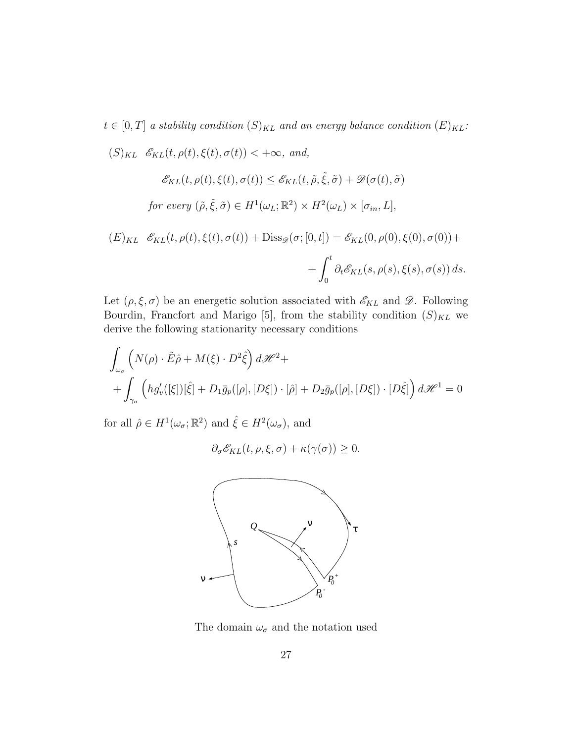$t \in [0, T]$  a stability condition  $(S)_{KL}$  and an energy balance condition  $(E)_{KL}$ :

$$
(S)_{KL} \mathcal{E}_{KL}(t, \rho(t), \xi(t), \sigma(t)) < +\infty, \text{ and,}
$$
  

$$
\mathcal{E}_{KL}(t, \rho(t), \xi(t), \sigma(t)) \le \mathcal{E}_{KL}(t, \tilde{\rho}, \tilde{\xi}, \tilde{\sigma}) + \mathcal{D}(\sigma(t), \tilde{\sigma})
$$
  
for every  $(\tilde{\rho}, \tilde{\xi}, \tilde{\sigma}) \in H^1(\omega_L; \mathbb{R}^2) \times H^2(\omega_L) \times [\sigma_{in}, L],$   
 $(E)_{KL} \mathcal{E}_{KL}(t, \rho(t), \xi(t), \sigma(t)) + \text{Diss}_{\tilde{\sigma}}(\sigma: [0, t]) = \mathcal{E}_{KL}(0, \rho(0), \xi(0), \sigma(0)) +$ 

$$
(E)_{KL} \mathcal{E}_{KL}(t, \rho(t), \xi(t), \sigma(t)) + \text{Diss}_{\mathscr{D}}(\sigma; [0, t]) = \mathcal{E}_{KL}(0, \rho(0), \xi(0), \sigma(0)) + \int_0^t \partial_t \mathcal{E}_{KL}(s, \rho(s), \xi(s), \sigma(s)) ds.
$$

Let  $(\rho, \xi, \sigma)$  be an energetic solution associated with  $\mathscr{E}_{KL}$  and  $\mathscr{D}$ . Following Bourdin, Francfort and Marigo [5], from the stability condition  $(S)_{KL}$  we derive the following stationarity necessary conditions

$$
\int_{\omega_{\sigma}} \left( N(\rho) \cdot \tilde{E}\hat{\rho} + M(\xi) \cdot D^2 \hat{\xi} \right) d\mathcal{H}^2 + \n+ \int_{\gamma_{\sigma}} \left( h g'_v([\xi])[\hat{\xi}] + D_1 \bar{g}_p([\rho], [D\xi]) \cdot [\hat{\rho}] + D_2 \bar{g}_p([\rho], [D\xi]) \cdot [D\hat{\xi}] \right) d\mathcal{H}^1 = 0
$$

for all  $\hat{\rho} \in H^1(\omega_{\sigma}; \mathbb{R}^2)$  and  $\hat{\xi} \in H^2(\omega_{\sigma}),$  and

$$
\partial_{\sigma} \mathcal{E}_{KL}(t, \rho, \xi, \sigma) + \kappa(\gamma(\sigma)) \ge 0.
$$



The domain  $\omega_\sigma$  and the notation used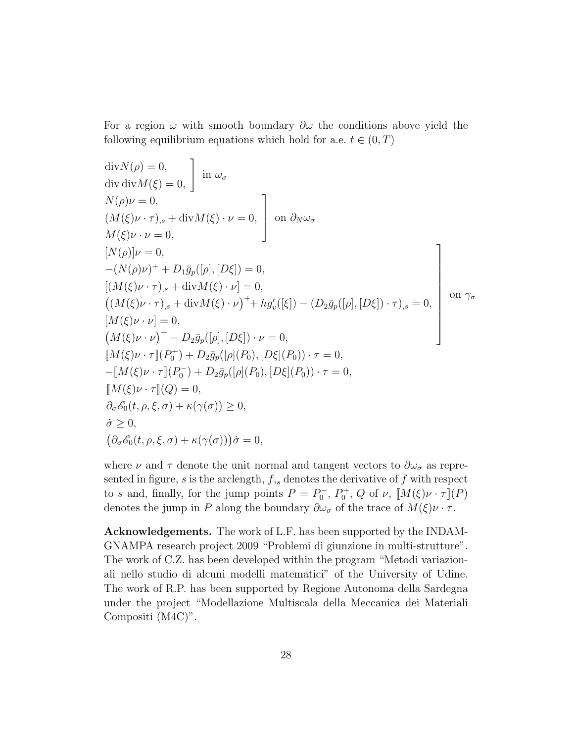For a region  $\omega$  with smooth boundary  $\partial \omega$  the conditions above yield the following equilibrium equations which hold for a.e.  $t \in (0, T)$ 

$$
\begin{aligned}\n\text{div}\,N(\rho) &= 0, \\
\text{div}\,\text{div}\,M(\xi) &= 0, \\
N(\rho)\nu &= 0, \\
(M(\xi)\nu \cdot \tau)_{,s} + \text{div}\,M(\xi) \cdot \nu = 0, \\
[N(\rho)]\nu &= 0, \\
[N(\rho)]\nu &= 0, \\
-(N(\rho)\nu)^+ + D_1\bar{g}_p([\rho],[D\xi]) = 0, \\
[(M(\xi)\nu \cdot \tau)_{,s} + \text{div}\,M(\xi) \cdot \nu] &= 0, \\
((M(\xi)\nu \cdot \tau)_{,s} + \text{div}\,M(\xi) \cdot \nu)^+ + h g'_v([\xi]) - (D_2\bar{g}_p([\rho],[D\xi]) \cdot \tau)_{,s} = 0, \\
[M(\xi)\nu \cdot \nu) &= 0, \\
(M(\xi)\nu \cdot \nu)^+ - D_2\bar{g}_p([\rho],[D\xi]) \cdot \nu = 0, \\
[M(\xi)\nu \cdot \tau] (P_0^+) + D_2\bar{g}_p([\rho](P_0), [D\xi](P_0)) \cdot \tau = 0, \\
-M(\xi)\nu \cdot \tau] (P_0^-) + D_2\bar{g}_p([\rho](P_0), [D\xi](P_0)) \cdot \tau = 0, \\
[M(\xi)\nu \cdot \tau] (Q) &= 0, \\
\partial_\sigma \mathcal{E}_0(t, \rho, \xi, \sigma) + \kappa(\gamma(\sigma)) \ge 0, \\
\dot{\sigma} &\ge 0, \\
(\partial_\sigma \mathcal{E}_0(t, \rho, \xi, \sigma) + \kappa(\gamma(\sigma))) \dot{\sigma} &= 0,\n\end{aligned}
$$

where  $\nu$  and  $\tau$  denote the unit normal and tangent vectors to  $\partial \omega_{\sigma}$  as represented in figure,  $s$  is the arclength,  $f,s$  denotes the derivative of  $f$  with respect to s and, finally, for the jump points  $P = P_0^-$ ,  $P_0^+$ , Q of  $\nu$ ,  $\llbracket M(\xi)\nu \cdot \tau \rrbracket(P)$ denotes the jump in P along the boundary  $\partial \omega_{\sigma}$  of the trace of  $M(\xi)\nu \cdot \tau$ .

Acknowledgements. The work of L.F. has been supported by the INDAM-GNAMPA research project 2009 "Problemi di giunzione in multi-strutture". The work of C.Z. has been developed within the program "Metodi variazionali nello studio di alcuni modelli matematici" of the University of Udine. The work of R.P. has been supported by Regione Autonoma della Sardegna under the project "Modellazione Multiscala della Meccanica dei Materiali Compositi (M4C)".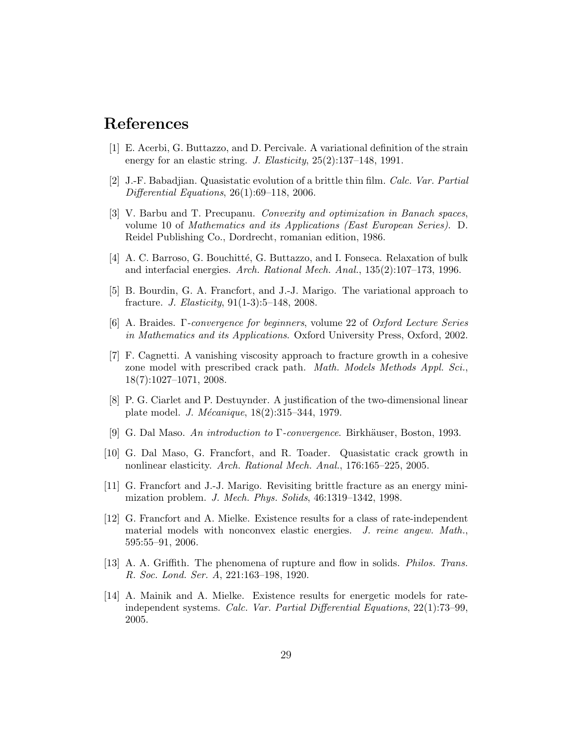#### References

- [1] E. Acerbi, G. Buttazzo, and D. Percivale. A variational definition of the strain energy for an elastic string. J. Elasticity,  $25(2):137-148$ , 1991.
- [2] J.-F. Babadjian. Quasistatic evolution of a brittle thin film. Calc. Var. Partial Differential Equations, 26(1):69–118, 2006.
- [3] V. Barbu and T. Precupanu. Convexity and optimization in Banach spaces, volume 10 of Mathematics and its Applications (East European Series). D. Reidel Publishing Co., Dordrecht, romanian edition, 1986.
- [4] A. C. Barroso, G. Bouchitté, G. Buttazzo, and I. Fonseca. Relaxation of bulk and interfacial energies. Arch. Rational Mech. Anal., 135(2):107–173, 1996.
- [5] B. Bourdin, G. A. Francfort, and J.-J. Marigo. The variational approach to fracture. J. Elasticity, 91(1-3):5–148, 2008.
- [6] A. Braides. Γ-convergence for beginners, volume 22 of Oxford Lecture Series in Mathematics and its Applications. Oxford University Press, Oxford, 2002.
- [7] F. Cagnetti. A vanishing viscosity approach to fracture growth in a cohesive zone model with prescribed crack path. Math. Models Methods Appl. Sci., 18(7):1027–1071, 2008.
- [8] P. G. Ciarlet and P. Destuynder. A justification of the two-dimensional linear plate model. *J. Mécanique*,  $18(2):315-344, 1979$ .
- [9] G. Dal Maso. An introduction to  $\Gamma$ -convergence. Birkhäuser, Boston, 1993.
- [10] G. Dal Maso, G. Francfort, and R. Toader. Quasistatic crack growth in nonlinear elasticity. Arch. Rational Mech. Anal., 176:165–225, 2005.
- [11] G. Francfort and J.-J. Marigo. Revisiting brittle fracture as an energy minimization problem. J. Mech. Phys. Solids, 46:1319–1342, 1998.
- [12] G. Francfort and A. Mielke. Existence results for a class of rate-independent material models with nonconvex elastic energies. J. reine angew. Math., 595:55–91, 2006.
- [13] A. A. Griffith. The phenomena of rupture and flow in solids. Philos. Trans. R. Soc. Lond. Ser. A, 221:163–198, 1920.
- [14] A. Mainik and A. Mielke. Existence results for energetic models for rateindependent systems. Calc. Var. Partial Differential Equations, 22(1):73–99, 2005.